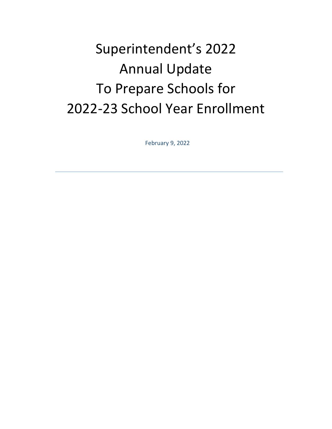# Superintendent's 2022 Annual Update To Prepare Schools for 2022-23 School Year Enrollment

February 9, 2022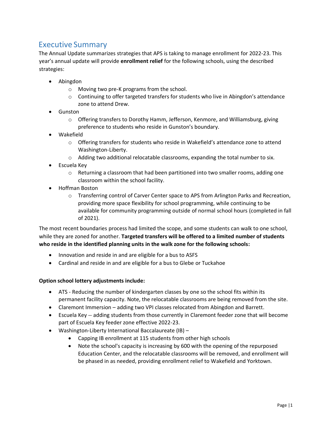# Executive Summary

The Annual Update summarizes strategies that APS is taking to manage enrollment for 2022-23. This year's annual update will provide **enrollment relief** for the following schools, using the described strategies:

- Abingdon
	- o Moving two pre-K programs from the school.
	- $\circ$  Continuing to offer targeted transfers for students who live in Abingdon's attendance zone to attend Drew.
- Gunston
	- o Offering transfers to Dorothy Hamm, Jefferson, Kenmore, and Williamsburg, giving preference to students who reside in Gunston's boundary.
- Wakefield
	- o Offering transfers for students who reside in Wakefield's attendance zone to attend Washington-Liberty.
	- $\circ$  Adding two additional relocatable classrooms, expanding the total number to six.
- Escuela Key
	- $\circ$  Returning a classroom that had been partitioned into two smaller rooms, adding one classroom within the school facility.
- Hoffman Boston
	- o Transferring control of Carver Center space to APS from Arlington Parks and Recreation, providing more space flexibility for school programming, while continuing to be available for community programming outside of normal school hours (completed in fall of 2021).

The most recent boundaries process had limited the scope, and some students can walk to one school, while they are zoned for another. **Targeted transfers will be offered to a limited number of students who reside in the identified planning units in the walk zone for the following schools:**

- Innovation and reside in and are eligible for a bus to ASFS
- Cardinal and reside in and are eligible for a bus to Glebe or Tuckahoe

#### **Option school lottery adjustments include:**

- ATS Reducing the number of kindergarten classes by one so the school fits within its permanent facility capacity. Note, the relocatable classrooms are being removed from the site.
- Claremont Immersion adding two VPI classes relocated from Abingdon and Barrett.
- Escuela Key -- adding students from those currently in Claremont feeder zone that will become part of Escuela Key feeder zone effective 2022-23.
- Washington-Liberty International Baccalaureate (IB)
	- Capping IB enrollment at 115 students from other high schools
	- Note the school's capacity is increasing by 600 with the opening of the repurposed Education Center, and the relocatable classrooms will be removed, and enrollment will be phased in as needed, providing enrollment relief to Wakefield and Yorktown.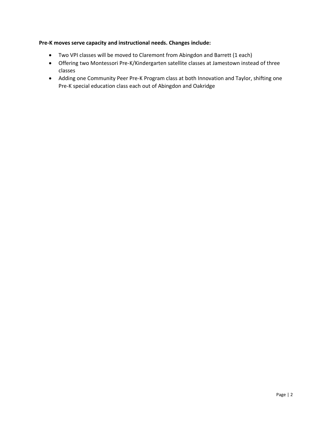#### **Pre-K moves serve capacity and instructional needs. Changes include:**

- Two VPI classes will be moved to Claremont from Abingdon and Barrett (1 each)
- Offering two Montessori Pre-K/Kindergarten satellite classes at Jamestown instead of three classes
- Adding one Community Peer Pre-K Program class at both Innovation and Taylor, shifting one Pre-K special education class each out of Abingdon and Oakridge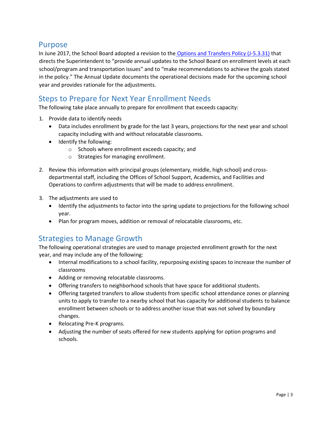# Purpose

In June 2017, the School Board adopted a revision to the Options and Transfers Policy (J-5.3.31) that directs the Superintendent to "provide annual updates to the School Board on enrollment levels at each school/program and transportation issues" and to "make recommendations to achieve the goals stated in the policy." The Annual Update documents the operational decisions made for the upcoming school year and provides rationale for the adjustments.

# Steps to Prepare for Next Year Enrollment Needs

The following take place annually to prepare for enrollment that exceeds capacity:

- 1. Provide data to identify needs
	- Data includes enrollment by grade for the last 3 years, projections for the next year and school capacity including with and without relocatable classrooms.
	- Identify the following:
		- o Schools where enrollment exceeds capacity; and
		- o Strategies for managing enrollment.
- 2. Review this information with principal groups (elementary, middle, high school) and crossdepartmental staff, including the Offices of School Support, Academics, and Facilities and Operations to confirm adjustments that will be made to address enrollment.
- 3. The adjustments are used to
	- Identify the adjustments to factor into the spring update to projections for the following school year.
	- Plan for program moves, addition or removal of relocatable classrooms, etc.

# Strategies to Manage Growth

The following operational strategies are used to manage projected enrollment growth for the next year, and may include any of the following:

- Internal modifications to a school facility, repurposing existing spaces to increase the number of classrooms
- Adding or removing relocatable classrooms.
- Offering transfers to neighborhood schools that have space for additional students.
- Offering targeted transfers to allow students from specific school attendance zones or planning units to apply to transfer to a nearby school that has capacity for additional students to balance enrollment between schools or to address another issue that was not solved by boundary changes.
- Relocating Pre-K programs.
- Adjusting the number of seats offered for new students applying for option programs and schools.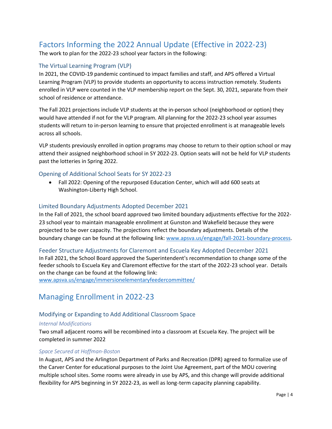# Factors Informing the 2022 Annual Update (Effective in 2022‐23)

The work to plan for the 2022-23 school year factors in the following:

# The Virtual Learning Program (VLP)

In 2021, the COVID-19 pandemic continued to impact families and staff, and APS offered a Virtual Learning Program (VLP) to provide students an opportunity to access instruction remotely. Students enrolled in VLP were counted in the VLP membership report on the Sept. 30, 2021, separate from their school of residence or attendance.

The Fall 2021 projections include VLP students at the in-person school (neighborhood or option) they would have attended if not for the VLP program. All planning for the 2022-23 school year assumes students will return to in-person learning to ensure that projected enrollment is at manageable levels across all schools.

VLP students previously enrolled in option programs may choose to return to their option school or may attend their assigned neighborhood school in SY 2022-23. Option seats will not be held for VLP students past the lotteries in Spring 2022.

# Opening of Additional School Seats for SY 2022-23

• Fall 2022: Opening of the repurposed Education Center, which will add 600 seats at Washington‐Liberty High School.

#### Limited Boundary Adjustments Adopted December 2021

In the Fall of 2021, the school board approved two limited boundary adjustments effective for the 2022- 23 school year to maintain manageable enrollment at Gunston and Wakefield because they were projected to be over capacity. The projections reflect the boundary adjustments. Details of the boundary change can be found at the following link: [www.apsva.us/engage/fall-2021-boundary-process.](http://www.apsva.us/engage/fall-2021-boundary-process)

#### Feeder Structure Adjustments for Claremont and Escuela Key Adopted December 2021

In Fall 2021, the School Board approved the Superintendent's recommendation to change some of the feeder schools to Escuela Key and Claremont effective for the start of the 2022-23 school year. Details on the change can be found at the following link:

[www.apsva.us/engage/immersionelementaryfeedercommittee/](http://www.apsva.us/engage/immersionelementaryfeedercommittee/)

# Managing Enrollment in 2022-23

# Modifying or Expanding to Add Additional Classroom Space

#### *Internal Modifications*

Two small adjacent rooms will be recombined into a classroom at Escuela Key. The project will be completed in summer 2022

#### *Space Secured at Hoffman-Boston*

In August, APS and the Arlington Department of Parks and Recreation (DPR) agreed to formalize use of the Carver Center for educational purposes to the Joint Use Agreement, part of the MOU covering multiple school sites. Some rooms were already in use by APS, and this change will provide additional flexibility for APS beginning in SY 2022-23, as well as long-term capacity planning capability.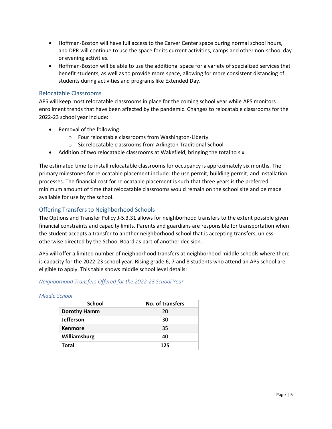- Hoffman-Boston will have full access to the Carver Center space during normal school hours, and DPR will continue to use the space for its current activities, camps and other non-school day or evening activities.
- Hoffman-Boston will be able to use the additional space for a variety of specialized services that benefit students, as well as to provide more space, allowing for more consistent distancing of students during activities and programs like Extended Day.

## Relocatable Classrooms

APS will keep most relocatable classrooms in place for the coming school year while APS monitors enrollment trends that have been affected by the pandemic. Changes to relocatable classrooms for the 2022-23 school year include:

- Removal of the following:
	- o Four relocatable classrooms from Washington-Liberty
	- o Six relocatable classrooms from Arlington Traditional School
- Addition of two relocatable classrooms at Wakefield, bringing the total to six.

The estimated time to install relocatable classrooms for occupancy is approximately six months. The primary milestones for relocatable placement include: the use permit, building permit, and installation processes. The financial cost for relocatable placement is such that three years is the preferred minimum amount of time that relocatable classrooms would remain on the school site and be made available for use by the school.

# Offering Transfers to Neighborhood Schools

The Options and Transfer Policy J-5.3.31 allows for neighborhood transfers to the extent possible given financial constraints and capacity limits. Parents and guardians are responsible for transportation when the student accepts a transfer to another neighborhood school that is accepting transfers, unless otherwise directed by the School Board as part of another decision.

APS will offer a limited number of neighborhood transfers at neighborhood middle schools where there is capacity for the 2022-23 school year. Rising grade 6, 7 and 8 students who attend an APS school are eligible to apply. This table shows middle school level details:

#### *Neighborhood Transfers Offered for the 2022-23 School Year*

| <b>School</b>       | No. of transfers |
|---------------------|------------------|
| <b>Dorothy Hamm</b> | 20               |
| <b>Jefferson</b>    | 30               |
| <b>Kenmore</b>      | 35               |
| Williamsburg        | 40               |
| Total               | 125              |

#### *Middle School*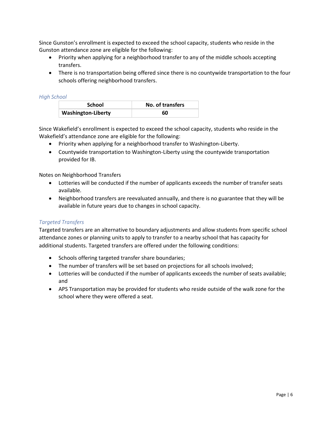Since Gunston's enrollment is expected to exceed the school capacity, students who reside in the Gunston attendance zone are eligible for the following:

- Priority when applying for a neighborhood transfer to any of the middle schools accepting transfers.
- There is no transportation being offered since there is no countywide transportation to the four schools offering neighborhood transfers.

#### *High School*

| <b>School</b>             | No. of transfers |
|---------------------------|------------------|
| <b>Washington-Liberty</b> | 60               |

Since Wakefield's enrollment is expected to exceed the school capacity, students who reside in the Wakefield's attendance zone are eligible for the following:

- Priority when applying for a neighborhood transfer to Washington-Liberty.
- Countywide transportation to Washington-Liberty using the countywide transportation provided for IB.

#### Notes on Neighborhood Transfers

- Lotteries will be conducted if the number of applicants exceeds the number of transfer seats available.
- Neighborhood transfers are reevaluated annually, and there is no guarantee that they will be available in future years due to changes in school capacity.

#### *Targeted Transfers*

Targeted transfers are an alternative to boundary adjustments and allow students from specific school attendance zones or planning units to apply to transfer to a nearby school that has capacity for additional students. Targeted transfers are offered under the following conditions:

- Schools offering targeted transfer share boundaries;
- The number of transfers will be set based on projections for all schools involved;
- Lotteries will be conducted if the number of applicants exceeds the number of seats available; and
- APS Transportation may be provided for students who reside outside of the walk zone for the school where they were offered a seat.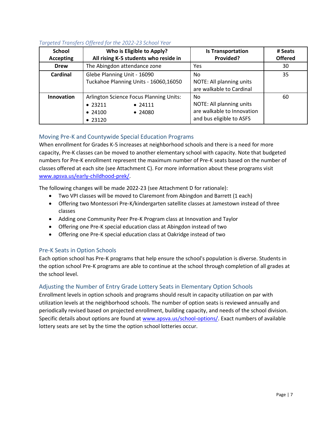## *Targeted Transfers Offered for the 2022-23 School Year*

| <b>School</b>    | Who is Eligible to Apply?                                                                                             | <b>Is Transportation</b>                                                                 | # Seats        |
|------------------|-----------------------------------------------------------------------------------------------------------------------|------------------------------------------------------------------------------------------|----------------|
| <b>Accepting</b> | All rising K-5 students who reside in                                                                                 | Provided?                                                                                | <b>Offered</b> |
| <b>Drew</b>      | The Abingdon attendance zone                                                                                          | Yes                                                                                      | 30             |
| <b>Cardinal</b>  | Glebe Planning Unit - 16090<br>Tuckahoe Planning Units - 16060,16050                                                  | No<br>NOTE: All planning units<br>are walkable to Cardinal                               | 35             |
| Innovation       | <b>Arlington Science Focus Planning Units:</b><br>• 23211<br>• 24111<br>$\bullet$ 24100<br>$\bullet$ 24080<br>• 23120 | No<br>NOTE: All planning units<br>are walkable to Innovation<br>and bus eligible to ASFS | 60             |

# Moving Pre-K and Countywide Special Education Programs

When enrollment for Grades K‐5 increases at neighborhood schools and there is a need for more capacity, Pre-K classes can be moved to another elementary school with capacity. Note that budgeted numbers for Pre-K enrollment represent the maximum number of Pre-K seats based on the number of classes offered at each site (see Attachment C). For more information about these programs visit www.apsva.us/e[arly‐childhood‐prek/](http://www.apsva.us/early-childhood-prek/)[.](http://www.apsva.us/early-childhood-prek/)

The following changes will be made 2022‐23 (see Attachment D for rationale):

- Two VPI classes will be moved to Claremont from Abingdon and Barrett (1 each)
- Offering two Montessori Pre-K/kindergarten satellite classes at Jamestown instead of three classes
- Adding one Community Peer Pre-K Program class at Innovation and Taylor
- Offering one Pre-K special education class at Abingdon instead of two
- Offering one Pre-K special education class at Oakridge instead of two

# Pre-K Seats in Option Schools

Each option school has Pre-K programs that help ensure the school's population is diverse. Students in the option school Pre-K programs are able to continue at the school through completion of all grades at the school level.

# Adjusting the Number of Entry Grade Lottery Seats in Elementary Option Schools

Enrollment levels in option schools and programs should result in capacity utilization on par with utilization levels at the neighborhood schools. The number of option seats is reviewed annually and periodically revised based on projected enrollment, building capacity, and needs of the school division. Specific details about options are found at www.apsva.us/school-options/. Exact numbers of available lottery seats are set by the time the option school lotteries occur[.](http://www.apsva.us/school-options/)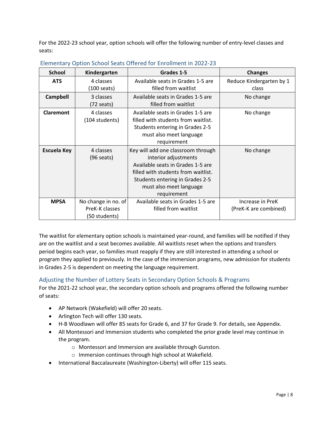For the 2022‐23 school year, option schools will offer the following number of entry‐level classes and seats:

| <b>School</b>      | Kindergarten                                           | Grades 1-5                                                                                                                                                                                                          | <b>Changes</b>                            |
|--------------------|--------------------------------------------------------|---------------------------------------------------------------------------------------------------------------------------------------------------------------------------------------------------------------------|-------------------------------------------|
| <b>ATS</b>         | 4 classes<br>(100 seats)                               | Available seats in Grades 1-5 are<br>filled from waitlist                                                                                                                                                           | Reduce Kindergarten by 1<br>class         |
| <b>Campbell</b>    | 3 classes<br>(72 seats)                                | Available seats in Grades 1-5 are<br>filled from waitlist                                                                                                                                                           | No change                                 |
| <b>Claremont</b>   | 4 classes<br>(104 students)                            | Available seats in Grades 1-5 are<br>filled with students from waitlist.<br>Students entering in Grades 2-5<br>must also meet language<br>requirement                                                               | No change                                 |
| <b>Escuela Key</b> | 4 classes<br>$(96$ seats)                              | Key will add one classroom through<br>interior adjustments<br>Available seats in Grades 1-5 are<br>filled with students from waitlist.<br>Students entering in Grades 2-5<br>must also meet language<br>requirement | No change                                 |
| <b>MPSA</b>        | No change in no. of<br>PreK-K classes<br>(50 students) | Available seats in Grades 1-5 are<br>filled from waitlist                                                                                                                                                           | Increase in PreK<br>(PreK-K are combined) |

# Elementary Option School Seats Offered for Enrollment in 2022-23

The waitlist for elementary option schools is maintained year-round, and families will be notified if they are on the waitlist and a seat becomes available. All waitlists reset when the options and transfers period begins each year, so families must reapply if they are still interested in attending a school or program they applied to previously. In the case of the immersion programs, new admission for students in Grades 2‐5 is dependent on meeting the language requirement.

# Adjusting the Number of Lottery Seats in Secondary Option Schools & Programs

For the 2021‐22 school year, the secondary option schools and programs offered the following number of seats:

- AP Network (Wakefield) will offer 20 seats.
- Arlington Tech will offer 130 seats.
- H‐B Woodlawn will offer 85 seats for Grade 6, and 37 for Grade 9. For details, see Appendix.
- All Montessori and Immersion students who completed the prior grade level may continue in the program.
	- o Montessori and Immersion are available through Gunston.
	- o Immersion continues through high school at Wakefield.
- International Baccalaureate (Washington-Liberty) will offer 115 seats.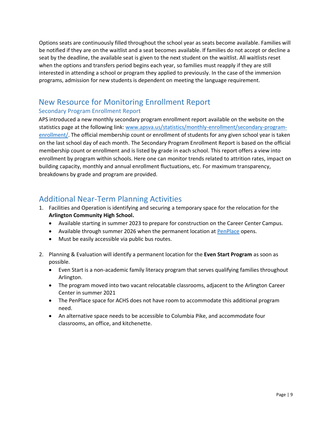Options seats are continuously filled throughout the school year as seats become available. Families will be notified if they are on the waitlist and a seat becomes available. If families do not accept or decline a seat by the deadline, the available seat is given to the next student on the waitlist. All waitlists reset when the options and transfers period begins each year, so families must reapply if they are still interested in attending a school or program they applied to previously. In the case of the immersion programs, admission for new students is dependent on meeting the language requirement.

# New Resource for Monitoring Enrollment Report

# Secondary Program Enrollment Report

APS introduced a new monthly secondary program enrollment report available on the website on the statistics page at the following link: [www.apsva.us/statistics/monthly-enrollment/secondary-program](http://www.apsva.us/statistics/monthly-enrollment/secondary-program-enrollment/)[enrollment/.](http://www.apsva.us/statistics/monthly-enrollment/secondary-program-enrollment/) The official membership count or enrollment of students for any given school year is taken on the last school day of each month. The Secondary Program Enrollment Report is based on the official membership count or enrollment and is listed by grade in each school. This report offers a view into enrollment by program within schools. Here one can monitor trends related to attrition rates, impact on building capacity, monthly and annual enrollment fluctuations, etc. For maximum transparency, breakdowns by grade and program are provided.

# Additional Near-Term Planning Activities

- 1. Facilities and Operation is identifying and securing a temporary space for the relocation for the **Arlington Community High School.**
	- Available starting in summer 2023 to prepare for construction on the Career Center Campus.
	- Available through summer 2026 when the permanent location at [PenPlace](http://www.apsva.us/post/arlington-community-high-school-to-get-permanent-home-at-amazons-penplace/) opens.
	- Must be easily accessible via public bus routes.
- 2. Planning & Evaluation will identify a permanent location for the **Even Start Program** as soon as possible.
	- Even Start is a non-academic family literacy program that serves qualifying families throughout Arlington.
	- The program moved into two vacant relocatable classrooms, adjacent to the Arlington Career Center in summer 2021
	- The PenPlace space for ACHS does not have room to accommodate this additional program need.
	- An alternative space needs to be accessible to Columbia Pike, and accommodate four classrooms, an office, and kitchenette.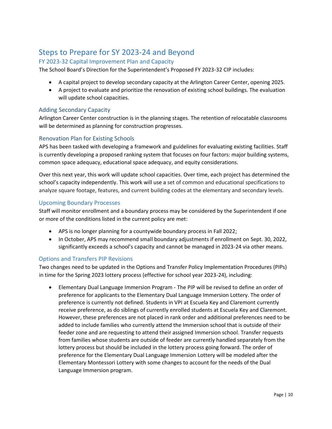# Steps to Prepare for SY 2023-24 and Beyond

# FY 2023-32 Capital Improvement Plan and Capacity

The School Board's Direction for the Superintendent's Proposed FY 2023-32 CIP includes:

- A capital project to develop secondary capacity at the Arlington Career Center, opening 2025.
- A project to evaluate and prioritize the renovation of existing school buildings. The evaluation will update school capacities.

## Adding Secondary Capacity

Arlington Career Center construction is in the planning stages. The retention of relocatable classrooms will be determined as planning for construction progresses.

# Renovation Plan for Existing Schools

APS has been tasked with developing a framework and guidelines for evaluating existing facilities. Staff is currently developing a proposed ranking system that focuses on four factors: major building systems, common space adequacy, educational space adequacy, and equity considerations.

Over this next year, this work will update school capacities. Over time, each project has determined the school's capacity independently. This work will use a set of common and educational specifications to analyze square footage, features, and current building codes at the elementary and secondary levels.

## Upcoming Boundary Processes

Staff will monitor enrollment and a boundary process may be considered by the Superintendent if one or more of the conditions listed in the current policy are met:

- APS is no longer planning for a countywide boundary process in Fall 2022;
- In October, APS may recommend small boundary adjustments if enrollment on Sept. 30, 2022, significantly exceeds a school's capacity and cannot be managed in 2023-24 via other means.

#### Options and Transfers PIP Revisions

Two changes need to be updated in the Options and Transfer Policy Implementation Procedures (PIPs) in time for the Spring 2023 lottery process (effective for school year 2023-24), including:

• Elementary Dual Language Immersion Program - The PIP will be revised to define an order of preference for applicants to the Elementary Dual Language Immersion Lottery. The order of preference is currently not defined. Students in VPI at Escuela Key and Claremont currently receive preference, as do siblings of currently enrolled students at Escuela Key and Claremont. However, these preferences are not placed in rank order and additional preferences need to be added to include families who currently attend the Immersion school that is outside of their feeder zone and are requesting to attend their assigned Immersion school. Transfer requests from families whose students are outside of feeder are currently handled separately from the lottery process but should be included in the lottery process going forward. The order of preference for the Elementary Dual Language Immersion Lottery will be modeled after the Elementary Montessori Lottery with some changes to account for the needs of the Dual Language Immersion program.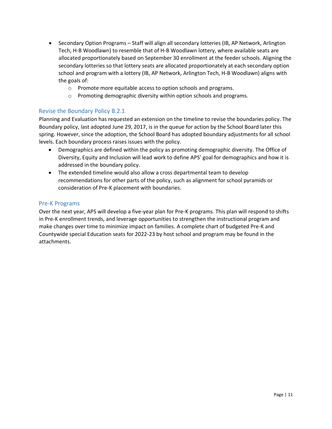- Secondary Option Programs Staff will align all secondary lotteries (IB, AP Network, Arlington Tech, H-B Woodlawn) to resemble that of H‐B Woodlawn lottery, where available seats are allocated proportionately based on September 30 enrollment at the feeder schools. Aligning the secondary lotteries so that lottery seats are allocated proportionately at each secondary option school and program with a lottery (IB, AP Network, Arlington Tech, H-B Woodlawn) aligns with the goals of:
	- o Promote more equitable access to option schools and programs.
	- o Promoting demographic diversity within option schools and programs.

## Revise the Boundary Policy B.2.1

Planning and Evaluation has requested an extension on the timeline to revise the boundaries policy. The Boundary policy, last adopted June 29, 2017, is in the queue for action by the School Board later this spring. However, since the adoption, the School Board has adopted boundary adjustments for all school levels. Each boundary process raises issues with the policy.

- Demographics are defined within the policy as promoting demographic diversity. The Office of Diversity, Equity and Inclusion will lead work to define APS' goal for demographics and how it is addressed in the boundary policy.
- The extended timeline would also allow a cross departmental team to develop recommendations for other parts of the policy, such as alignment for school pyramids or consideration of Pre-K placement with boundaries.

#### Pre-K Programs

Over the next year, APS will develop a five-year plan for Pre-K programs. This plan will respond to shifts in Pre-K enrollment trends, and leverage opportunities to strengthen the instructional program and make changes over time to minimize impact on families. A complete chart of budgeted Pre-K and Countywide special Education seats for 2022-23 by host school and program may be found in the attachments.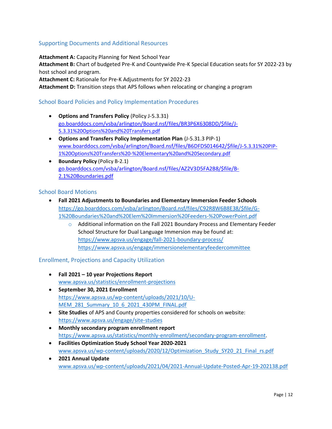# Supporting Documents and Additional Resources

**Attachment A:** Capacity Planning for Next School Year

**Attachment B:** Chart of budgeted Pre-K and Countywide Pre-K Special Education seats for SY 2022-23 by host school and program.

**Attachment C:** Rationale for Pre-K Adjustments for SY 2022-23

**Attachment D:** Transition steps that APS follows when relocating or changing a program

## School Board Policies and Policy Implementation Procedures

- **Options and Transfers Policy** (Policy J‐5.3.31) [go.boarddocs.com/vsba/arlington/Board.nsf/files/BR3P6X6308DD/\\$file/J‐](https://go.boarddocs.com/vsba/arlington/Board.nsf/files/BR3P6X6308DD/$file/J-5.3.31%20Options%20and%20Transfers.pdf) 5[.3.31%20Options%20and%20Transfers.pdf](https://go.boarddocs.com/vsba/arlington/Board.nsf/files/BR3P6X6308DD/$file/J-5.3.31%20Options%20and%20Transfers.pdf)
- **Options and Transfers Policy Implementation Plan** (J‐5.31.3 PIP‐1[\)](https://go.boarddocs.com/vsba/arlington/Board.nsf/files/BR3PB763C6A5/$file/J-5.3.31%20PIP-1%20Options%20Transfers-Elementary%20and%20Secondary.pdf) [www.boarddocs.com/vsba/arlington/Board.nsf/files/B6DFDS014642/\\$file/J‐](https://go.boarddocs.com/vsba/arlington/Board.nsf/files/BR3PB763C6A5/$file/J-5.3.31%20PIP-1%20Options%20Transfers-Elementary%20and%20Secondary.pdf)5.[3.31%20PIP‐](https://go.boarddocs.com/vsba/arlington/Board.nsf/files/BR3PB763C6A5/$file/J-5.3.31%20PIP-1%20Options%20Transfers-Elementary%20and%20Secondary.pdf)  [1%20Options%20Transfers%20‐%20Elementary%20and%20Secondary.pdf](https://go.boarddocs.com/vsba/arlington/Board.nsf/files/BR3PB763C6A5/$file/J-5.3.31%20PIP-1%20Options%20Transfers-Elementary%20and%20Secondary.pdf)
- **Boundary Policy** (Policy B‐2.1) go.boarddocs.com/vsba/arlington/Board.nsf/files/AZ2V3D5FA2B8/\$file/B-[2.1%20Boundaries.pdf](https://go.boarddocs.com/vsba/arlington/Board.nsf/files/AZ2V3D5FA2B8/$file/B-2.1%20Boundaries.pdf)

## School Board Motions

- **Fall 2021 Adjustments to Boundaries and Elementary Immersion Feeder Schools** [https://go.boarddocs.com/vsba/arlington/Board.nsf/files/C92R8W6B8E38/\\$file/G-](https://go.boarddocs.com/vsba/arlington/Board.nsf/files/C92R8W6B8E38/$file/G-1%20Boundaries%20and%20Elem%20Immersion%20Feeders-%20PowerPoint.pdf)[1%20Boundaries%20and%20Elem%20Immersion%20Feeders-%20PowerPoint.pdf](https://go.boarddocs.com/vsba/arlington/Board.nsf/files/C92R8W6B8E38/$file/G-1%20Boundaries%20and%20Elem%20Immersion%20Feeders-%20PowerPoint.pdf)
	- $\circ$  Additional information on the Fall 2021 Boundary Process and Elementary Feeder School Structure for Dual Language Immersion may be found at: https://www.apsva.us/engage/fall-2021-boundary-process/ <https://www.apsva.us/engage/immersionelementaryfeedercommittee>

#### Enrollment, Projections and Capacity Utilization

- **Fall 2021 – 10 year Projections Report** [www.apsva.us/statistics/enrollment-projections](http://www.apsva.us/statistics/enrollment-projections)
- **September 30, 2021 Enrollment** [https://www.apsva.us/wp-content/uploads/2021/10/U-](https://www.apsva.us/wp-content/uploads/2021/10/U-MEM_281_Summary_10_6_2021_430PM_FINAL.pdf)[MEM\\_281\\_Summary\\_10\\_6\\_2021\\_430PM\\_FINAL.pdf](https://www.apsva.us/wp-content/uploads/2021/10/U-MEM_281_Summary_10_6_2021_430PM_FINAL.pdf)
- **Site Studies** of APS and County properties considered for schools on website: <https://www.apsva.us/engage/site-studies>
- **Monthly secondary program enrollment report** [https://www.apsva.us/statistics/monthly-enrollment/secondary-program-enrollment.](https://www.apsva.us/statistics/monthly-enrollment/secondary-program-enrollment/)
- **Facilities Optimization Study School Year 2020‐2021** www.apsva.us/wp-content/uploads/2020/12/Optimization\_Study\_SY20\_21\_Final\_rs.pdf
- **2021 Annual Update** [www.apsva.us/wp-content/uploads/2021/04/2021-Annual-Update-Posted-Apr-19-202138.pdf](http://www.apsva.us/wp-content/uploads/2021/04/2021-Annual-Update-Posted-Apr-19-202138.pdf)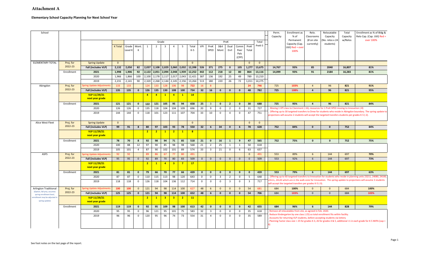#### Elementary School Capacity Planning for Next School Year

| School                                                  |            |                                  |                |         |                |                |                |                         |                         |                |              |              |                         |                         |                         |               |                         |              | Perm.<br>Capacity | Enrollment as<br>% of                                                                                                                                          | Relo.<br>Classrooms | Relocatable<br>Capacity | Total<br>Capacity | Enrollment as % of Bldg &<br>Relo Cap. (Cap. Util) Red =                                                             |
|---------------------------------------------------------|------------|----------------------------------|----------------|---------|----------------|----------------|----------------|-------------------------|-------------------------|----------------|--------------|--------------|-------------------------|-------------------------|-------------------------|---------------|-------------------------|--------------|-------------------|----------------------------------------------------------------------------------------------------------------------------------------------------------------|---------------------|-------------------------|-------------------|----------------------------------------------------------------------------------------------------------------------|
|                                                         |            |                                  |                |         |                |                |                | Grade                   |                         |                |              |              |                         |                         | PreK                    |               |                         | Total        |                   | Permanent                                                                                                                                                      | (# on site          | Vo. relos x 24          | w/Relos           | over 100%                                                                                                            |
|                                                         |            |                                  | <b>K</b> Total | Grade   | Mont.          | 1              | $\overline{2}$ | $\overline{\mathbf{3}}$ | $\overline{4}$          | 5              | Total        | <b>VPI</b>   | PreK                    | 3&4                     | Dual                    | Comm          | PreK                    | PreK-5       |                   | Capacity (Cap.                                                                                                                                                 | currently)          | students)               |                   |                                                                                                                      |
|                                                         |            |                                  |                | Level K | $\mathsf{K}$   |                |                |                         |                         |                | $K-5$        |              | SPED                    | Mont                    | Enrl                    | Peer          | Total                   |              |                   | Util) <b>Red = ove</b> ı<br>100%                                                                                                                               |                     |                         |                   |                                                                                                                      |
|                                                         |            |                                  |                |         |                |                |                |                         |                         |                |              |              |                         |                         |                         | Pals<br>(CPP) |                         |              |                   |                                                                                                                                                                |                     |                         |                   |                                                                                                                      |
| <b>ELEMENTARY TOTAL</b>                                 | Proj. for  | <b>Spring Update</b>             | $\overline{0}$ |         |                |                |                |                         |                         |                | $\mathbf{0}$ |              |                         |                         |                         |               | $\mathbf{0}$            | $\mathbf{0}$ |                   |                                                                                                                                                                |                     |                         |                   |                                                                                                                      |
|                                                         | 2022-23    | Fall (includes VLP)              | 2,132          | 2,050   | 82             | 2,037          | 2,108          | 2,029                   | 2,060                   | 2,032          | 12,398       | 526          | 371                     | 275                     | $\mathbf{0}$            | 105           | 1,277                   | 13,675       | 14,767            | 93%                                                                                                                                                            | 85                  | 2040                    | 16,807            | 81%                                                                                                                  |
|                                                         | Enrollment | 2021                             | 1,998          | 1,906   | 92             | 2,122          | 2,051          | 2,094                   |                         | 2,048 1,939    | 12,252       | 442          | 112                     | 218                     | 12                      | 80            | 864                     | 13,116       | 14,099            | 93%                                                                                                                                                            | 91                  | 2184                    | 16,283            | 81%                                                                                                                  |
|                                                         |            | 2020                             | 1,966          | 1,866   | 100            | 2,100          | 2,178          | 2,117                   | 2,017                   | 2,043          | 12,421       | 387          | 136                     | 192                     | 25                      | 49            | 789                     | 13,210       |                   |                                                                                                                                                                |                     |                         |                   |                                                                                                                      |
|                                                         |            | 2019                             | 2,231          | 2,141   | 90             | 2,320          | 2,268          | 2,144                   |                         | 2,145 2,156    | 13,264       | 513          | 180                     | 220                     | 26                      | 72            | 1,011                   | 14,275       |                   |                                                                                                                                                                |                     |                         |                   |                                                                                                                      |
| Abingdon                                                | Proj. for  | <b>Spring Update Adjustments</b> | 133            | 133     |                | 124            | 133            | 128                     | 106                     | 98             | 722          | 16           | $\mathbf{R}$            |                         |                         |               | 24                      | 746          | 725               | 103%                                                                                                                                                           | $\overline{4}$      | 96                      | 821               | 91%                                                                                                                  |
|                                                         | 2022-23    | Fall (includes VLP)              | 135            | 135     | $\mathbf{0}$   | 126            | 135            | 130                     | 108                     | 100            | 734          | 32           | 16                      | $\mathbf{0}$            | $\mathbf{0}$            | $\mathbf{0}$  | 48                      | 782          | 725               | 108%                                                                                                                                                           | $\overline{4}$      | 96                      | 821               | 95%                                                                                                                  |
|                                                         |            | VLP 11/29/21                     |                |         |                | $\overline{4}$ | $\overline{4}$ | $\mathbf{1}$            | $\overline{4}$          | $\mathbf{1}$   | 14           |              |                         |                         |                         |               |                         |              |                   |                                                                                                                                                                |                     |                         |                   |                                                                                                                      |
|                                                         |            | next year grade                  |                |         |                |                |                |                         |                         |                |              |              |                         |                         |                         |               |                         |              |                   |                                                                                                                                                                |                     |                         |                   |                                                                                                                      |
|                                                         | Enrollment | 2021                             | 121            | 121     | $\mathbf{0}$   | 122            | 121            | 105                     | 95                      | 94             | 658          | 25           | $\overline{\mathbf{3}}$ | $\mathbf{0}$            | $\overline{2}$          | $\mathbf{0}$  | 30                      | 688          | 725               | 95%                                                                                                                                                            | $\overline{a}$      | 96                      | 821               | 84%                                                                                                                  |
|                                                         |            | 2020                             | 126            | 126     | $\overline{0}$ | 135            | 118            | 104                     | 104                     | 109            | 696          | 20           | 9                       | $\Omega$                | $\overline{2}$          | $\mathbf 0$   | 31                      | 727          |                   | Moving 1 VPI class to Claremont (-16), resources for 1 PreK SPED moving to Innovation (-8)                                                                     |                     |                         |                   | Offering up to 30 targeted transfers to Drew for students who reside in Abingdon boundary. The spring update to      |
|                                                         |            | 2019                             | 144            | 144     | $\mathbf 0$    | 118            | 101            | 123                     | 111                     | 107            | 704          | 33           | 10                      | $\mathbf 0$             | $\overline{4}$          | $\mathbf 0$   | 47                      | 751          |                   | projections will assume 2 students will accept the targeted transfers students per grades K-5 (-2).                                                            |                     |                         |                   |                                                                                                                      |
| Alice West Fleet                                        | Proj. for  | <b>Spring Update</b>             | $\overline{0}$ |         |                |                |                |                         |                         |                | $\mathbf{0}$ |              |                         |                         |                         |               | $\mathbf{0}$            | $\mathbf{0}$ |                   |                                                                                                                                                                |                     |                         |                   |                                                                                                                      |
|                                                         | 2022-23    | Fall (includes VLP)              | 99             | 91      | 8              | 80             | 97             | 103                     | 93                      | 78             | 550          | 32           | 6                       | 34                      | $\mathbf 0$             | 6             | 78                      | 628          | 752               | 84%                                                                                                                                                            | $\pmb{0}$           | $\pmb{0}$               | 752               | 84%                                                                                                                  |
|                                                         |            | VLP 11/29/21<br>next year grade  |                |         |                | $\overline{2}$ | $\overline{2}$ | $\mathbf{1}$            | 2 <sup>2</sup>          | $\mathbf{1}$   | 8            |              |                         |                         |                         |               |                         |              |                   |                                                                                                                                                                |                     |                         |                   |                                                                                                                      |
|                                                         | Enrollment | 2021                             | 78             | 70      | 8              | 92             | 98             | 94                      | 71                      | 85             | 518          | 21           | $\mathbf{0}$            | 16                      | 1                       | 9             | 47                      | 565          | 752               | 75%                                                                                                                                                            | $\mathbf{0}$        | $\mathbf{0}$            | 752               | 75%                                                                                                                  |
|                                                         |            | 2020                             | 100            | 88      | 12             | 97             | 90             | 85                      | 98                      | 98             | 568          | 21           | $\overline{2}$          | 25                      | 1                       | 1             | 50                      | 618          |                   |                                                                                                                                                                |                     |                         |                   |                                                                                                                      |
|                                                         |            | 2019                             | 105            | 101     | $\overline{4}$ | 87             | 90             | 102                     | 101                     | 89             | 574          | 33           | $\overline{\mathbf{3}}$ | 21                      | $\mathbf 0$             | 6             | 63                      | 637          |                   |                                                                                                                                                                |                     |                         |                   |                                                                                                                      |
| <b>ASFS</b>                                             | Proj. for  | Spring Update Adjustments        | 92             | 92      |                | 89             | 86             | 67                      | 77                      | 80             | 491          |              |                         |                         |                         |               | $\mathbf{0}$            | 491          | 553               | 89%                                                                                                                                                            | $6\overline{6}$     | 144                     | 697               | 70%                                                                                                                  |
|                                                         | 2022-23    | Fall (includes VLP)              | 95             | 95      | $\mathbf{0}$   | 92             | 89             | 70                      | 80                      | 83             | 509          | $\mathbf{0}$ | $\mathbf{0}$            | $\mathbf{0}$            | $\Omega$                | $\mathbf{0}$  | $\mathbf{0}$            | 509          | 553               | 92%                                                                                                                                                            | 6                   | 144                     | 697               | 73%                                                                                                                  |
|                                                         |            | VLP 11/29/21<br>next year grade  |                |         |                | $\overline{2}$ | $\mathbf{1}$   | $\overline{4}$          | $\overline{\mathbf{3}}$ | $\overline{7}$ | 17           |              |                         |                         |                         |               |                         |              |                   |                                                                                                                                                                |                     |                         |                   |                                                                                                                      |
|                                                         | Enrollment | 2021                             | 81             | 81      | $\mathbf 0$    | 79             | 66             | 70                      | 77                      | 66             | 439          | $\mathbf{0}$ | $\mathbf{0}$            | $\mathbf{0}$            | $\mathbf{0}$            | $\mathbf 0$   | $\mathbf 0$             | 439          | 553               | 79%                                                                                                                                                            | $6\phantom{1}$      | 144                     | 697               | 63%                                                                                                                  |
|                                                         |            | 2020                             | 87             | 87      | $\mathbf 0$    | 110            | 115            | 113                     | 98                      | 120            | 643          | $\mathbf 0$  | $\mathbf 0$             | $\overline{\mathbf{3}}$ | $\overline{2}$          | $\mathbf 0$   | 5                       | 648          |                   |                                                                                                                                                                |                     |                         |                   | Offering up to 60 targeted transfers to Innovation for students who reside in planning units 23211, 24080, 24100     |
|                                                         |            | 2019                             | 118            | 118     | $\mathbf 0$    | 126            | 118            | 104                     | 136                     | 112            | 714          | $\mathbf 0$  | $\mathsf{O}$            | $\mathbf 0$             | $\overline{\mathbf{3}}$ | $\mathbf 0$   | $\overline{\mathbf{3}}$ | 717          |                   | will accept the targeted transfers per grades K-5 (-3).                                                                                                        |                     |                         |                   | 4111, 24120 which are in the walk zone for Innovation. The spring update to projections will assume 3 students       |
| Arlington Traditional                                   | Proj. for  | Spring Update Adjustment         | 100            | 100     | $\mathbf{0}$   | 121            | 94             | 98                      | 114                     | 100            | 627          | 48           | 6                       | $\mathbf{0}$            | $\mathbf{0}$            | $\mathbf{0}$  | 54                      | 681          | 684               | 100%                                                                                                                                                           | $\mathbf{0}$        | $\mathbf{0}$            | 684               | 100%                                                                                                                 |
| (Option, fall proj. assumes<br>spring enrollment level, | 2022-23    | Fall (includes VLP)              | 125            | 125     | $\mathbf{0}$   | 121            | 94             | 98                      | 114                     | 100            | 652          | 48           | 6                       | $\mathbf{0}$            | $\mathbf{0}$            | $\mathbf 0$   | 54                      | 706          | 684               | 103%                                                                                                                                                           | $\mathbf{0}$        | $\mathbf{0}$            | 684               | 103%                                                                                                                 |
| nrollment may be adjusted in<br>spring update)          |            | VLP 11/29/21<br>next year grade  |                |         |                | $\overline{2}$ | $\mathbf{1}$   | $\overline{\mathbf{3}}$ | $\overline{\mathbf{3}}$ | $\overline{2}$ | 11           |              |                         |                         |                         |               |                         |              |                   |                                                                                                                                                                |                     |                         |                   |                                                                                                                      |
|                                                         | Enrollment | 2021                             | 119            | 119     | $\mathbf{0}$   | 92             | 95             | 109                     | 98                      | 100            | 613          | 42           | $\mathbf{0}$            | $\mathbf{0}$            | $\mathbf{0}$            | $\mathbf 0$   | 42                      | 655          | 684               | 96%                                                                                                                                                            | 6                   | 144                     | 828               | 79%                                                                                                                  |
|                                                         |            | 2020                             | 95             | 95      | $\mathbf 0$    | 96             | 121            | 95                      | 101                     | 75             | 583          | 32           | $\overline{3}$          | $\mathbf 0$             | $\mathbf 0$             | $\mathbf 0$   | 35                      | 618          |                   | Remove all relocatables from site, as agreed in Feb. 2020.                                                                                                     |                     |                         |                   |                                                                                                                      |
|                                                         |            | 2019                             | 96             | 96      | $\mathbf 0$    | 120            | 95             | 96                      | 74                      | 73             | 554          | 31           | $\overline{4}$          | $\mathbf 0$             | $\mathbf 0$             | $\mathbf 0$   | 35                      | 589          |                   | Reduce Kindergarten by one class (-25) so total enrollment fits within facility.<br>Accounts for returning VLP students, before accepting students via lottery |                     |                         |                   | Planning Factor class size = 25 for grades K-3, 26 for grades 4 & 5, additional +1 in each grade for K-5 MIPA (cap = |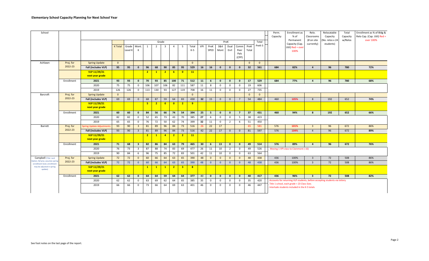| School                                                     |            |                                 |                |                  |                         |                |                |                         |                |                         |                |            |              |              |                |                               |               |                | Perm.<br>Capacity | Enrollment as<br>% of                                                                        | Relo.<br>Classrooms      | Relocatable<br>Capacity      | Total<br>Capacity | Enrollment as % of Bldg &<br>Relo Cap. (Cap. Util) Red = |
|------------------------------------------------------------|------------|---------------------------------|----------------|------------------|-------------------------|----------------|----------------|-------------------------|----------------|-------------------------|----------------|------------|--------------|--------------|----------------|-------------------------------|---------------|----------------|-------------------|----------------------------------------------------------------------------------------------|--------------------------|------------------------------|-------------------|----------------------------------------------------------|
|                                                            |            |                                 |                |                  |                         |                |                | Grade                   |                |                         |                |            |              |              | PreK           |                               |               | Total          |                   | Permanent<br>Capacity (Cap.                                                                  | (# on site<br>currently) | (No. relos x 24<br>students) | w/Relos           | over 100%                                                |
|                                                            |            |                                 | <b>K</b> Total | Grade<br>Level K | Mont.<br>K              | 1              | $\overline{2}$ | $\overline{\mathbf{3}}$ | $\overline{4}$ | 5                       | Total<br>K-5   | <b>VPI</b> | PreK<br>SPED | 3&4<br>Mont  | Dual<br>Enrl   | Comm<br>Peer<br>Pals<br>(CPP) | PreK<br>Total | PreK-5         |                   | Util) Red = over<br>100%                                                                     |                          |                              |                   |                                                          |
| Ashlawn                                                    | Proj. for  | <b>Spring Update</b>            | $\mathbf{0}$   |                  |                         |                |                |                         |                |                         | $\mathbf{0}$   |            |              |              |                |                               | $\mathbf{0}$  | $\mathbf{0}$   |                   |                                                                                              |                          |                              |                   |                                                          |
|                                                            | 2022-23    | Fall (includes VLP)             | 95             | 95               | $\mathbf{0}$            | 96             | 68             | 90                      | 85             | 95                      | 529            | 16         | 16           | $\mathbf{0}$ | $\mathbf{0}$   | $\mathbf{0}$                  | 32            | 561            | 684               | 82%                                                                                          | $\overline{4}$           | 96                           | 780               | 72%                                                      |
|                                                            |            | VLP 11/29/21<br>next year grade |                |                  |                         | $\overline{2}$ | $\overline{1}$ | $\overline{2}$          | 6              | $\overline{\mathbf{0}}$ | 11             |            |              |              |                |                               |               |                |                   |                                                                                              |                          |                              |                   |                                                          |
|                                                            | Enrollment | 2021                            | 93             | 93               | $\mathbf{0}$            | 70             | 93             | 85                      | 100            | 71                      | 512            | 11         | 6            | $\mathbf{0}$ | $\mathbf{0}$   | $\mathbf{0}$                  | 17            | 529            | 684               | 77%                                                                                          | $\overline{4}$           | 96                           | 780               | 68%                                                      |
|                                                            |            | 2020                            | 75             | 75               | $\mathbf 0$             | 106            | 107            | 106                     | 82             | 111                     | 587            | 11         | 8            | $^{\circ}$   | $^{\circ}$     | $\mathbf 0$                   | 19            | 606            |                   |                                                                                              |                          |                              |                   |                                                          |
|                                                            |            | 2019                            | 126            | 126              | $\mathbf 0$             | 113            | 130            | 93                      | 127            | 119                     | 708            | 16         | 11           | $\mathbf{0}$ | $\mathbf{0}$   | $\mathbf 0$                   | 27            | 735            |                   |                                                                                              |                          |                              |                   |                                                          |
| Barcroft                                                   | Proj. for  | <b>Spring Update</b>            | $\overline{0}$ |                  |                         |                |                |                         |                |                         | $\Omega$       |            |              |              |                |                               | $\mathbf{0}$  | $\overline{0}$ |                   |                                                                                              |                          |                              |                   |                                                          |
|                                                            | 2022-23    | Fall (includes VLP)             | 69             | 69               | $\mathbf{0}$            | 68             | 87             | 59                      | 64             | 83                      | 430            | 32         | 15           | $\Omega$     | $\Omega$       | $\overline{7}$                | 54            | 484            | 460               | 105%                                                                                         | 8                        | 192                          | 652               | 74%                                                      |
|                                                            |            | VLP 11/29/21<br>next year grade |                |                  |                         | -51            | $\overline{2}$ | $\overline{\mathbf{0}}$ | $\bullet$      | $\overline{2}$          | $\overline{9}$ |            |              |              |                |                               |               |                |                   |                                                                                              |                          |                              |                   |                                                          |
|                                                            | Enrollment | 2021                            | 60             | 60               | $\mathbf{0}$            | 84             | 56             | 66                      | 74             | 54                      | 394            | 25         | 5            | $\mathbf{0}$ | $\mathbf{0}$   | $\overline{7}$                | 37            | 431            | 460               | 94%                                                                                          | 8                        | 192                          | 652               | 66%                                                      |
|                                                            |            | 2020                            | 82             | 82               | $\mathbf 0$             | 52             | 65             | 73                      | 43             | 70                      | 385            | 27         | 6            | $\mathbf 0$  | $\mathbf 0$    | - 5                           | 38            | 423            |                   |                                                                                              |                          |                              |                   |                                                          |
|                                                            |            | 2019                            | 65             | 65               | $\mathbf 0$             | 76             | 72             | 50                      | 62             | 74                      | 399            | 32         | 11           | $\mathbf 0$  | $\overline{2}$ | 6                             | 51            | 450            |                   |                                                                                              |                          |                              |                   |                                                          |
| Barrett                                                    | Proj. for  | Spring Update Adjustments       | 93             | 90               | $\overline{\mathbf{3}}$ | 81             | 89             | 96                      | 84             | 73                      | 516            | 26         | 22           | 17           |                |                               | 65            | 581            | 576               | 101%                                                                                         | $\overline{\mathbf{3}}$  | 96                           | 672               | 86%                                                      |
|                                                            | 2022-23    | Fall (includes VLP)             | 93             | 90               | $\overline{\mathbf{3}}$ | 81             | 89             | 96                      | 84             | 73                      | 516            | 42         | 22           | 17           | $\mathbf{0}$   | $\mathbf{0}$                  | 81            | 597            | 576               | 104%                                                                                         | $\overline{4}$           | 96                           | 672               | 89%                                                      |
|                                                            |            | VLP 11/29/21<br>next year grade |                |                  |                         | $\overline{2}$ | $\mathbf{1}$   | $\overline{4}$          | $\overline{2}$ | $\overline{2}$          | 11             |            |              |              |                |                               |               |                |                   |                                                                                              |                          |                              |                   |                                                          |
|                                                            | Enrollment | 2021                            | 71             | 68               | $\overline{\mathbf{3}}$ | 82             | 86             | 84                      | 63             | 79                      | 465            | 30         | 6            | 13           | $\mathbf{0}$   | $\mathbf{0}$                  | 49            | 514            | 576               | 89%                                                                                          | $\overline{4}$           | 96                           | 672               | 76%                                                      |
|                                                            |            | 2020                            | 76             | 73               | $\overline{\mathbf{3}}$ | 87             | 88             | 74                      | 83             | 69                      | 477            | 26         | 11           | 10           | $\overline{2}$ | $\mathbf 0$                   | 49            | 526            |                   | Moving 1 VPI class to Claremont (-16)                                                        |                          |                              |                   |                                                          |
|                                                            |            | 2019                            | 90             | 84               | 6                       | 96             | 75             | 85                      | 72             | 83                      | 501            | 42         | 11           | 10           | $\mathbf{0}$   | $\mathbf 0$                   | 63            | 564            |                   |                                                                                              |                          |                              |                   |                                                          |
| Campbell (Title I and<br>Option, fall proj. assumes spring | Proj. for  | <b>Spring Update</b>            | 72             | 72               | $\Omega$                | 60             | 66             | 64                      | 63             | 65                      | 390            | 48         | $\mathbf{0}$ | $\Omega$     | $\Omega$       | $\Omega$                      | 48            | 438            | 436               | 100%                                                                                         | $\overline{3}$           | 72                           | 508               | 86%                                                      |
| enrollment level, enrollment                               | 2022-23    | Fall (includes VLP)             | 72             | 72               | $\overline{\mathbf{0}}$ | 60             | 66             | 64                      | 63             | 65                      | 390            | 48         | $\mathbf{0}$ | $\Omega$     | $\mathbf{0}$   | $\mathbf{0}$                  | 48            | 438            | 436               | 100%                                                                                         | $\overline{\mathbf{3}}$  | 72                           | 508               | 86%                                                      |
| may be adjusted in spring<br>update)                       |            | VLP 11/29/21<br>next year grade |                |                  |                         | $\mathbf{1}$   | $\mathbf{1}$   | $\mathbf{1}$            | 2 <sup>2</sup> | $\overline{\mathbf{3}}$ | 8              |            |              |              |                |                               |               |                |                   |                                                                                              |                          |                              |                   |                                                          |
|                                                            | Enrollment | 2021                            | 62             | 62               | $\mathbf{0}$            | 64             | 64             | 59                      | 64             | 64                      | 377            | 40         | $\mathbf{0}$ | $\mathbf{0}$ | $\mathbf{0}$   | $\mathbf{0}$                  | 40            | 417            | 436               | 96%                                                                                          | $\overline{\mathbf{3}}$  | 72                           | 508               | 82%                                                      |
|                                                            |            | 2020                            | 62             | 62               | $\mathbf 0$             | 63             | 69             | 62                      | 64             | 65                      | 385            | 35         | $^{\circ}$   | $\mathbf 0$  | $\mathbf{0}$   | $^{\circ}$                    | 35            | 420            |                   | Accounts for returning VLP students, before accepting students via lottery                   |                          |                              |                   |                                                          |
|                                                            |            | 2019                            | 66             | 66               | $\mathbf 0$             | 73             | 66             | 64                      | 69             | 63                      | 401            | 46         | $\mathbf 0$  | $\mathbf 0$  | $\mathbf 0$    | $^{\circ}$                    | 46            | 447            |                   | Title 1 school, each grade = 23 Class Size;<br>Interlude students included in the K-5 totals |                          |                              |                   |                                                          |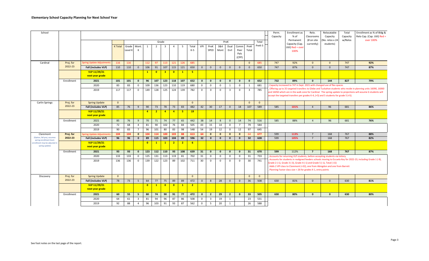| School                                                  |            |                                 |                |         |                         |                |                |                         |                |                |                |                 |                         |              |                |                |                |                | Perm.<br>Capacity | Enrollment as<br>% of                                                                                                                                                                                                 | Relo.<br>Classrooms      | Relocatable<br>Capacity     | Total<br>Capacity | Enrollment as % of Bldg &<br>Relo Cap. (Cap. Util) Red =<br>over 100%                                                                                                                                                            |
|---------------------------------------------------------|------------|---------------------------------|----------------|---------|-------------------------|----------------|----------------|-------------------------|----------------|----------------|----------------|-----------------|-------------------------|--------------|----------------|----------------|----------------|----------------|-------------------|-----------------------------------------------------------------------------------------------------------------------------------------------------------------------------------------------------------------------|--------------------------|-----------------------------|-------------------|----------------------------------------------------------------------------------------------------------------------------------------------------------------------------------------------------------------------------------|
|                                                         |            |                                 |                |         |                         |                |                | Grade                   |                |                |                |                 |                         |              | PreK           |                |                | Total          |                   | Permanent<br>Capacity (Cap.                                                                                                                                                                                           | (# on site<br>currently) | No. relos x 24<br>students) | w/Relos           |                                                                                                                                                                                                                                  |
|                                                         |            |                                 | <b>K</b> Total | Grade   | Mont.                   | 1              | 2              | $\overline{\mathbf{3}}$ | $\overline{4}$ | - 5            | Total          | VPI             | PreK                    | 3&4          | Dual           | Comm           | PreK           | PreK-5         |                   | Util) Red = over                                                                                                                                                                                                      |                          |                             |                   |                                                                                                                                                                                                                                  |
|                                                         |            |                                 |                | Level K | K                       |                |                |                         |                |                | $K-5$          |                 | SPED                    | Mont         | Enrl           | Peer<br>Pals   | Total          |                |                   | 100%                                                                                                                                                                                                                  |                          |                             |                   |                                                                                                                                                                                                                                  |
|                                                         |            |                                 |                |         |                         |                |                |                         |                |                |                |                 |                         |              |                | (CPP)          |                |                |                   |                                                                                                                                                                                                                       |                          |                             |                   |                                                                                                                                                                                                                                  |
| Cardinal                                                | Proj. for  | Spring Update Adjustments       | 116            | 116     |                         | 112            | 97             | 113                     | 121            | 126            | 685            |                 |                         |              |                |                | $\Omega$       | 685            | 747               | 92%                                                                                                                                                                                                                   | $\mathbf{0}$             | $\mathbf{0}$                | 747               | 92%                                                                                                                                                                                                                              |
|                                                         | 2022-23    | Fall (includes VLP)             | 110            | 110     | $\mathbf{0}$            | 106            | 91             | 107                     | 115            | 121            | 650            | $\overline{0}$  | $\mathsf 0$             | $\mathbf{0}$ | $\Omega$       | $\mathbf{0}$   | $\mathbf{0}$   | 650            | 747               | 87%                                                                                                                                                                                                                   | $\mathbf{0}$             | $\mathbf{0}$                | 747               | 87%                                                                                                                                                                                                                              |
|                                                         |            | VLP 11/29/21<br>next year grade |                |         |                         | $\mathbf{1}$   | $\bullet$      | $\overline{\mathbf{3}}$ | $\bullet$      | $\mathbf{1}$   | $-5$           |                 |                         |              |                |                |                |                |                   |                                                                                                                                                                                                                       |                          |                             |                   |                                                                                                                                                                                                                                  |
|                                                         | Enrollment | 2021                            | 101            | 101     | $\mathbf{0}$            | 96             | 107            | 123                     | 118            | 107            | 652            | $\mathbf{0}$    | $\mathbf{o}$            | $\mathbf{0}$ | $\mathbf{0}$   | $\mathbf{0}$   | $\mathbf{0}$   | 652            | 732               | 89%                                                                                                                                                                                                                   | $\mathbf{0}$             | 144                         | 827               | 79%                                                                                                                                                                                                                              |
|                                                         |            | 2020                            | 83             | 83      | $\mathbf 0$             | 109            | 136            | 123                     | 110            | 119            | 680            | $\mathbf 0$     | $\mathbf 0$             | $\mathbf 0$  | $\mathbf{1}$   | $\mathbf 0$    | $\mathbf{1}$   | 681            |                   | Capacity increased to 747 in Sept. 2021 with changed use of flex spaces                                                                                                                                               |                          |                             |                   |                                                                                                                                                                                                                                  |
|                                                         |            | 2019                            | 117            | 117     | $\mathbf 0$             | 149            | 128            | 125                     | 124            | 139            | 782            | $\mathbf 0$     | $\mathbf 0$             | $\mathbf{0}$ | $\overline{3}$ | $\mathbf 0$    | $\overline{3}$ | 785            |                   | accept the targeted transfers per grades K-4, (+5) and 5 students for grade 5 (+5).                                                                                                                                   |                          |                             |                   | Offering up to 35 targeted transfers to Glebe and Tuckahoe students who reside in planning units 16090, 16060<br>and 16050 which are in the walk zone for Cardinal. The spring update to projections will assume 6 students will |
| <b>Carlin Springs</b>                                   | Proj. for  | <b>Spring Update</b>            | $\overline{0}$ |         |                         |                |                |                         |                |                | $\mathbf{0}$   |                 |                         |              |                |                | $\mathbf{0}$   | $\overline{0}$ |                   |                                                                                                                                                                                                                       |                          |                             |                   |                                                                                                                                                                                                                                  |
|                                                         | 2022-23    | Fall (includes VLP)             | 85             | 76      | $\overline{9}$          | 90             | 73             | 78                      | 73             | 83             | 482            | 42              | 30                      | 17           | $\Omega$       | 18             | 107            | 589            | 585               | 101%                                                                                                                                                                                                                  | $\overline{4}$           | 96                          | 681               | 86%                                                                                                                                                                                                                              |
|                                                         |            | VLP 11/29/21<br>next year grade |                |         |                         | $\overline{4}$ | $\overline{2}$ | $\overline{4}$          | $\overline{4}$ | $-5$           | 19             |                 |                         |              |                |                |                |                |                   |                                                                                                                                                                                                                       |                          |                             |                   |                                                                                                                                                                                                                                  |
|                                                         | Enrollment | 2021                            | 85             | 76      | $\overline{9}$          | 70             | 71             | 74                      | 77             | 65             | 442            | 38              | 14                      | 8            | $\Omega$       | 14             | 74             | 516            | 585               | 88%                                                                                                                                                                                                                   | $\overline{4}$           | 96                          | 681               | 76%                                                                                                                                                                                                                              |
|                                                         |            | 2020                            | 72             | 68      | $\overline{4}$          | 81             | 90             | 102                     | 76             | 84             | 505            | 43              | 15                      | 14           | $\mathbf 0$    | $\overline{7}$ | 79             | 584            |                   |                                                                                                                                                                                                                       |                          |                             |                   |                                                                                                                                                                                                                                  |
|                                                         |            | 2019                            | 90             | 83      | $\overline{7}$          | 96             | 101            | 80                      | 83             | 98             | 548            | 54              | 19                      | 12           | $\Omega$       | 12             | 97             | 645            |                   |                                                                                                                                                                                                                       |                          |                             |                   |                                                                                                                                                                                                                                  |
| Claremont                                               | Proj. for  | pring Update Adjustment:        | 104            | 104     | $\mathbf{0}$            | 104            | 114            | 100                     | 103            | 88             | 613            | 64              | $\mathbf{0}$            | $\mathbf{0}$ | $\mathbf{0}$   | $\mathbf{0}$   | 64             | 677            | 599               | 113%                                                                                                                                                                                                                  | $\overline{7}$           | 168                         | 767               | 88%                                                                                                                                                                                                                              |
| (Option, fall proj. assumes<br>spring enrollment level, | 2022-23    | Fall (includes VLP)             | 96             | 96      | $\mathbf{0}$            | 89             | 115            | 103                     | 104            | 89             | 596            | 32              | $\mathbf{0}$            | $\mathbf{0}$ | $\mathbf{0}$   | $\mathbf{0}$   | 32             | 628            | 599               | 105%                                                                                                                                                                                                                  | $\overline{7}$           | 168                         | 767               | 82%                                                                                                                                                                                                                              |
| inrollment may be adjusted in<br>spring update)         |            | VLP 11/29/21<br>next year grade |                |         |                         | $\bullet$      | $\mathbf{1}$   | $\mathbf{1}$            | $\overline{2}$ | $\overline{2}$ | $6^{\circ}$    |                 |                         |              |                |                |                |                |                   |                                                                                                                                                                                                                       |                          |                             |                   |                                                                                                                                                                                                                                  |
|                                                         | Enrollment | 2021                            | 93             | 93      | $\mathbf{0}$            | 123            | 112            | 110                     | 93             | 108            | 639            | 31              | $\mathbf{o}$            | $\mathbf{0}$ | $\mathbf{0}$   | $\mathbf{0}$   | 31             | 670            | 599               | 112%                                                                                                                                                                                                                  | $\overline{7}$           | 168                         | 767               | 87%                                                                                                                                                                                                                              |
|                                                         |            | 2020                            | 133            | 133     | $\mathbf 0$             | 125            | 131            | 113                     | 119            | 81             | 702            | 31              | $\mathbf 0$             | $\mathbf{0}$ | $\mathbf{0}$   | $\mathbf{0}$   | 31             | 733            |                   | Accounts for returning VLP students, before accepting students via lottery                                                                                                                                            |                          |                             |                   |                                                                                                                                                                                                                                  |
|                                                         |            | 2019                            | 136            | 136     | $\mathbf 0$             | 139            | 122            | 123                     | 89             | 102            | 711            | 30 <sup>°</sup> | $\mathbf 0$             | $\mathbf 0$  | $\mathbf{0}$   | $\mathbf 0$    | 30             | 741            |                   | Grade 2 (-1), Grade 3 (-3), Grade 4 (-1) and Grade 5 (-1), Total (-15)<br>Adds 2 VPI class to Claremont (+32), one from Abingdon and one from Barrett<br>Planning Factor class size = 26 for grades K-1, entry points |                          |                             |                   | Accounts for students in realigned feeders schools moving to Escuela Key for 2022-23, including Grade 1 (-9),                                                                                                                    |
| Discovery                                               | Proj. for  | <b>Spring Update</b>            | $\overline{0}$ |         |                         |                |                |                         |                |                | $\overline{0}$ |                 |                         |              |                |                | $\mathbf{0}$   | $\mathbf{0}$   |                   |                                                                                                                                                                                                                       |                          |                             |                   |                                                                                                                                                                                                                                  |
|                                                         | 2022-23    | Fall (includes VLP)             | 78             | 73      | 5                       | 64             | 77             | 75                      | 89             | 89             | 472            | $\overline{0}$  | 8                       | 28           | $\mathbf{0}$   | $\mathbf{0}$   | 36             | 508            | 630               | 81%                                                                                                                                                                                                                   | $\mathbf{0}$             | $\Omega$                    | 630               | 81%                                                                                                                                                                                                                              |
|                                                         |            | VLP 11/29/21<br>next year grade |                |         |                         | $\mathbf{0}$   | $\mathbf{1}$   | $\bullet$               | $\overline{0}$ | $\mathbf{1}$   | $\overline{2}$ |                 |                         |              |                |                |                |                |                   |                                                                                                                                                                                                                       |                          |                             |                   |                                                                                                                                                                                                                                  |
|                                                         | Enrollment | 2021                            | 60             | 55      | 5                       | 80             | 74             | 90                      | 91             | 77             | 472            | $\mathbf{0}$    | $\overline{2}$          | 29           | $\overline{2}$ | $\mathbf{0}$   | 33             | 505            | 630               | 80%                                                                                                                                                                                                                   | $\mathbf{0}$             | $\mathbf{0}$                | 630               | 80%                                                                                                                                                                                                                              |
|                                                         |            | 2020                            | 64             | 61      | $\overline{\mathbf{3}}$ | 81             | 94             | 96                      | 87             | 86             | 508            | $\mathbf 0$     | $\overline{\mathbf{3}}$ | 19           | 1              |                | 23             | 531            |                   |                                                                                                                                                                                                                       |                          |                             |                   |                                                                                                                                                                                                                                  |
|                                                         |            | 2019                            | 92             | 88      | $\overline{4}$          | 96             | 103            | 91                      | 93             | 87             | 562            | $\mathbf 0$     | 5                       | 20           | $\mathbf{1}$   |                | 26             | 588            |                   |                                                                                                                                                                                                                       |                          |                             |                   |                                                                                                                                                                                                                                  |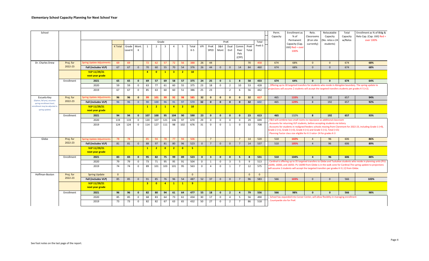| School                                         |            |                                  |                |                  |                |                         |                |                         |                |                         |                |                       |                         |              |                         |                      |               |                | Perm.<br>Capacity        | Enrollment as<br>% of                                                                                                                               | Relo.<br>Classrooms      | Relocatable<br>Capacity     | Total<br>Capacity | Enrollment as % of Bldg &<br>Relo Cap. (Cap. Util) Red =                                                          |
|------------------------------------------------|------------|----------------------------------|----------------|------------------|----------------|-------------------------|----------------|-------------------------|----------------|-------------------------|----------------|-----------------------|-------------------------|--------------|-------------------------|----------------------|---------------|----------------|--------------------------|-----------------------------------------------------------------------------------------------------------------------------------------------------|--------------------------|-----------------------------|-------------------|-------------------------------------------------------------------------------------------------------------------|
|                                                |            |                                  |                |                  |                |                         |                | Grade                   |                |                         |                |                       |                         |              | PreK                    |                      |               | Total          |                          | Permanent<br>Capacity (Cap                                                                                                                          | (# on site<br>currently) | No. relos x 24<br>students) | w/Relos           | over 100%                                                                                                         |
|                                                |            |                                  | <b>K</b> Total | Grade<br>Level K | Mont.<br>K     | $\mathbf{1}$            | $\overline{2}$ | $\overline{\mathbf{3}}$ | 4              | -5                      | Total<br>$K-5$ | <b>VPI</b>            | PreK<br>SPED            | 3&4<br>Mont  | Dual<br>Enrl            | Comm<br>Peer<br>Pals | PreK<br>Total | PreK-5         |                          | Util) Red = over<br>100%                                                                                                                            |                          |                             |                   |                                                                                                                   |
|                                                |            |                                  |                |                  |                |                         |                |                         |                |                         |                |                       |                         |              |                         | (CPP)                |               |                |                          |                                                                                                                                                     |                          |                             |                   |                                                                                                                   |
| Dr. Charles Drew                               | Proj. for  | <b>Spring Update Adjustments</b> | 69             | 69               |                | 72                      | 62             | 57                      | 72             | 56                      | 388            | 26                    | 44                      |              |                         |                      | 70            | 458            | 674                      | 68%                                                                                                                                                 | $\Omega$                 | $\Omega$                    | 674               | 68%                                                                                                               |
|                                                | 2022-23    | Fall (includes VLP)              | 67             | 67               | $\mathbf 0$    | 70                      | 60             | 55                      | 70             | 54                      | 376            | 26                    | 44                      | $\mathbf 0$  | $\mathbf{0}$            | 14                   | 84            | 460            | 674                      | 68%                                                                                                                                                 | $\mathbf{0}$             | $\Omega$                    | 674               | 68%                                                                                                               |
|                                                |            | VLP 11/29/21<br>next year grade  |                |                  |                | $\overline{4}$          | $\overline{0}$ | $\mathbf{1}$            | 3 <sup>7</sup> | $\overline{2}$          | 10             |                       |                         |              |                         |                      |               |                |                          |                                                                                                                                                     |                          |                             |                   |                                                                                                                   |
|                                                | Enrollment | 2021                             | 65             | 65               | $\mathbf{0}$   | 69                      | 57             | 69                      | 58             | 57                      | 375            | 24                    | 25                      | $\mathbf{0}$ | $\mathbf{1}$            | 8                    | 58            | 433            | 674                      | 64%                                                                                                                                                 | $\mathbf{0}$             | $\mathbf{0}$                | 674               | 64%                                                                                                               |
|                                                |            | 2020                             | 59             | 59               | $\mathbf 0$    | 63                      | 77             | 61                      | 60             | 55                      | 375            | 23                    | 18                      | $\mathbf 0$  | $\overline{2}$          | 10                   | 53            | 428            |                          |                                                                                                                                                     |                          |                             |                   | Offering up to 30 targeted transfers for students who reside in Abingdon boundary. The spring update to           |
|                                                |            | 2019                             | 67             | 67               | $\mathbf 0$    | 85                      | 63             | 60                      | 60             | 51                      | 386            | 25                    | 23                      |              | $\overline{2}$          | 6                    | 56            | 442            |                          | rojections will assume 2 students will accept the targeted transfers students per grades K-5 (+2).                                                  |                          |                             |                   |                                                                                                                   |
| Escuela Key<br>(Option, fall proj. assumes     | Proj. for  | <b>Spring Update Adjustment</b>  | 96             | 96               | $\mathbf{0}$   | 99                      | 101            | 99                      | 92             | 98                      | 585            | 32                    | $\mathbf{0}$            | $\mathbf{0}$ | $\mathbf{0}$            | $\mathbf{0}$         | 32            | 617            | 465                      | 133%                                                                                                                                                | 8                        | 192                         | 657               | 94%                                                                                                               |
| spring enrollment level                        | 2022-23    | Fall (includes VLP)              | 96             | 96               | $\mathbf{0}$   | 90                      | 100            | 96                      | 91             | 97                      | 570            | 32                    | $\mathbf{0}$            | $\mathbf{0}$ | $\mathbf{0}$            | $\mathbf{0}$         | 32            | 602            | 465                      | 129%                                                                                                                                                | 8                        | 192                         | 657               | 92%                                                                                                               |
| nrollment may be adjusted in<br>spring update) |            | VLP 11/29/21<br>next year grade  |                |                  |                | $\mathbf{1}$            | $\overline{2}$ | $\mathbf{1}$            | $\overline{4}$ | $\overline{2}$          | 10             |                       |                         |              |                         |                      |               |                |                          |                                                                                                                                                     |                          |                             |                   |                                                                                                                   |
|                                                | Enrollment | 2021                             | 94             | 94               | $\mathbf{0}$   | 107                     | 100            | 95                      | 104            | 90                      | 590            | 23                    | $\mathbf{0}$            | $\mathbf{0}$ | $\mathbf{0}$            | $\mathbf{0}$         | 23            | 613            | 465                      | 132%                                                                                                                                                | 8                        | 192                         | 657               | 93%                                                                                                               |
|                                                |            | 2020                             | 119            | 119              | $\overline{0}$ | 120                     | 107            | 121                     | 106            | 97                      | 670            | 29                    | $\mathbf 0$             | $\mathbf 0$  | $\mathbf 0$             | $\mathbf 0$          | 29            | 699            |                          | F&O will combine two small rooms to repurpose as additional classroom<br>Accounts for returning VLP students, before accepting students via lottery |                          |                             |                   |                                                                                                                   |
|                                                |            | 2019                             | 124            | 124              | $\mathbf 0$    | 114                     | 127            | 111                     | 98             | 102                     | 676            | 31                    | $\mathbf 0$             | $\Omega$     | 1                       | $\mathbf 0$          | 32            | 708            |                          | Grade 2 (+1), Grade 3 (+3), Grade 4 (+1) and Grade 5 (+1), Total (+15)<br>Planning Factor class size eligible for K-3 ratio= 24 for grades K-3      |                          |                             |                   | Accounts for students in realigned feeders schools moving from Claremont for 2022-23, including Grade 1 (+9),     |
| Glebe                                          | Proj. for  | Spring Update Adjustmen          | 78             | 78               |                | 85                      | 94             | 78                      | 77             | 94                      | 506            |                       | $\overline{7}$          |              |                         | $\overline{7}$       | 14            | 520            | 510                      | 102%                                                                                                                                                | $\overline{a}$           | 96                          | 606               | 86%                                                                                                               |
|                                                | 2022-23    | Fall (includes VLP)              | 81             | 81               | $\mathbf 0$    | 88                      | 97             | 81                      | 80             | 96                      | 523            | $\overline{0}$        | $\overline{7}$          | $\Omega$     | $\Omega$                | $\overline{7}$       | 14            | 537            | 510                      | 105%                                                                                                                                                | $\overline{4}$           | 96                          | 606               | 89%                                                                                                               |
|                                                |            | VLP 11/29/21<br>next year grade  |                |                  |                | $\mathbf{1}$            | $\overline{2}$ | $\bullet$               | $\overline{2}$ | $\overline{\mathbf{0}}$ | $5^{\circ}$    |                       |                         |              |                         |                      |               |                |                          |                                                                                                                                                     |                          |                             |                   |                                                                                                                   |
|                                                | Enrollment | 2021                             | 83             | 83               | $\mathbf{0}$   |                         |                |                         |                |                         |                |                       |                         |              |                         |                      |               |                |                          |                                                                                                                                                     |                          |                             |                   |                                                                                                                   |
|                                                |            |                                  |                |                  |                | 95                      | 82             | 75                      | 99             | 89                      | 523            | $\mathbf{0}$          | $\overline{\mathbf{3}}$ | $\mathbf{0}$ | $\mathbf{0}$            | 5                    | 8             | 531            | 510                      | 104%                                                                                                                                                | $\overline{a}$           | 96                          | 606               | 88%                                                                                                               |
|                                                |            | 2020                             | 79             | 79               | $\mathbf 0$    | 73                      | 71             | 95                      | 95             | 91                      | 504            | $\mathbf 0$           | 1                       | $\mathbf 0$  | $\overline{\mathbf{3}}$ | 5                    | 9             | 513            |                          |                                                                                                                                                     |                          |                             |                   | Cardinal is offering up to 35 targeted transfers to Glebe and Tuckahoe students who reside in planning units (PU) |
|                                                |            | 2019                             | 74             | 74               | $\mathbf 0$    | 89                      | 101            | 103                     | 101            | 95                      | 563            | $\mathbf 0$           | $\overline{4}$          | $^{\circ}$   | 1                       | $\overline{7}$       | 12            | 575            |                          | will assume 2 students will accept the targeted transfers per grades K-5 (-2) from Glebe.                                                           |                          |                             |                   | 16090, 16060, and 16050. PU 16090 from Glebe is in the walk zone for Cardinal. The spring update to projections   |
| Hoffman-Boston                                 | Proj. for  | <b>Spring Update</b>             | $\mathbf{0}$   |                  |                |                         |                |                         |                |                         | $\mathbf{0}$   |                       |                         |              |                         |                      | $\mathbf{0}$  | $\overline{0}$ |                          |                                                                                                                                                     |                          |                             |                   |                                                                                                                   |
|                                                | 2022-23    | Fall (includes VLP)              | 85             | 85               | $\mathbf{0}$   | 91                      | 85             | 76                      | 96             | 54                      | 487            | 52                    | 37                      | $\Omega$     | $\Omega$                | $\overline{7}$       | 96            | 583            | 566                      | 103%                                                                                                                                                | $\mathbf 0$              | $\Omega$                    | 566               | 103%                                                                                                              |
|                                                |            | VLP 11/29/21<br>next year grade  |                |                  |                | $\overline{\mathbf{3}}$ | $\overline{0}$ | $\overline{4}$          | $\mathbf{1}$   | $\mathbf{1}$            | 9              |                       |                         |              |                         |                      |               |                |                          |                                                                                                                                                     |                          |                             |                   |                                                                                                                   |
|                                                | Enrollment | 2021                             | 96             | 96               | $\mathbf{0}$   | 82                      | 80             | 94                      | 61             | 64                      | 477            | 55                    | 18                      | $\mathbf{0}$ | $\overline{2}$          | $\overline{4}$       | 79            | 556            | 566                      | 98%                                                                                                                                                 | $\mathbf{0}$             | $\mathbf{0}$                | 566               | 98%                                                                                                               |
|                                                |            | 2020<br>2019                     | 85<br>73       | 85<br>73         | $\mathbf 0$    | 68<br>82                | 83<br>82       | 64<br>67                | 73<br>63       | 61<br>65                | 434<br>432     | 30 <sup>°</sup><br>50 | 17<br>27                | $\mathbf 0$  | $\overline{4}$<br>2     | 5<br>$\overline{7}$  | 56<br>86      | 490<br>518     | Countywide site for PreK | School has expanded into Carver Center, will allow flexiblity in managing enrollment                                                                |                          |                             |                   |                                                                                                                   |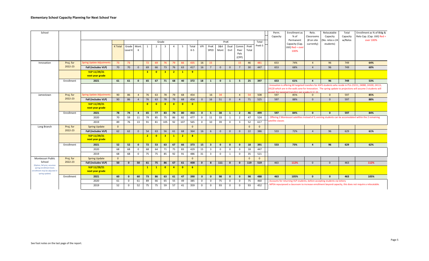| School                                                                      |            |                                 |                |                  |                |                |                         |                         |                |                         |                |              |                         |              |                |                               |               |              | Perm.<br>Capacity | Enrollment as<br>% of                                                      | Relo.<br>Classrooms      | Relocatable<br>Capacity      | Total<br>Capacity | Enrollment as % of Bldg &<br>Relo Cap. (Cap. Util) Red =                                                                                                                                                                      |
|-----------------------------------------------------------------------------|------------|---------------------------------|----------------|------------------|----------------|----------------|-------------------------|-------------------------|----------------|-------------------------|----------------|--------------|-------------------------|--------------|----------------|-------------------------------|---------------|--------------|-------------------|----------------------------------------------------------------------------|--------------------------|------------------------------|-------------------|-------------------------------------------------------------------------------------------------------------------------------------------------------------------------------------------------------------------------------|
|                                                                             |            |                                 |                |                  |                |                |                         | Grade                   |                |                         |                |              |                         |              | PreK           |                               |               | Total        |                   | Permanent<br>Capacity (Cap.                                                | (# on site<br>currently) | No. relos x 24)<br>students) | w/Relos           | over 100%                                                                                                                                                                                                                     |
|                                                                             |            |                                 | <b>K</b> Total | Grade<br>Level K | Mont.<br>К     |                | 2                       | $\overline{\mathbf{3}}$ | $\overline{4}$ | -5                      | Total<br>$K-5$ | VPI          | PreK<br>SPED            | 3&4<br>Mont  | Dual<br>Enrl   | Comm<br>Peer<br>Pals<br>(CPP) | PreK<br>Total | PreK-5       |                   | Util) Red = over<br>100%                                                   |                          |                              |                   |                                                                                                                                                                                                                               |
| Innovation                                                                  | Proj. for  | Spring Update Adjustments       | 73             | 73               |                | 72             | 69                      | 76                      | 79             | 66                      | 435            | 16           | 15                      |              |                | 15                            | 46            | 481          | 653               | 74%                                                                        | $\overline{4}$           | 96                           | 749               | 64%                                                                                                                                                                                                                           |
|                                                                             | 2022-23    | Fall (includes VLP)             | 70             | 70               | $\mathbf{0}$   | 69             | 66                      | 73                      | 76             | 63                      | 417            | 16           | $\overline{7}$          | $\mathbf{0}$ | $\mathbf{0}$   | $\overline{7}$                | 30            | 447          | 653               | 68%                                                                        | $\overline{4}$           | 96                           | 749               | 60%                                                                                                                                                                                                                           |
|                                                                             |            | VLP 11/29/21<br>next year grade |                |                  |                | 3 <sup>2</sup> | $\overline{\mathbf{0}}$ | 3 <sup>7</sup>          | 2 <sub>1</sub> | $\mathbf{1}$            | 9              |              |                         |              |                |                               |               |              |                   |                                                                            |                          |                              |                   |                                                                                                                                                                                                                               |
|                                                                             | Enrollment | 2021                            | 61             | 61               | $\mathbf{0}$   | 65             | 67                      | 71                      | 68             | 40                      | 372            | 18           | $\mathbf{1}$            | $\mathbf{0}$ | $\mathbf{1}$   | 5                             | 25            | 397          | 653               | 61%                                                                        | $\overline{a}$           | 96                           | 749               | 53%                                                                                                                                                                                                                           |
|                                                                             |            |                                 |                |                  |                |                |                         |                         |                |                         |                |              |                         |              |                |                               |               |              |                   | cept the targeted transfers per grades K-5 (-3).                           |                          |                              |                   | Innovation is offering 60 targeted transfers for ASFS students who reside in PUs 23211, 24080, 24100, 24111,<br>24120 which are in the walk zone for Innovation. The spring update to projections will assume 3 students will |
| Jamestown                                                                   | Proj. for  | Spring Update Adjustments       | 90             | 86               | $\overline{4}$ | 76             | 63                      | 78                      | 79             | 68                      | 454            |              | 16                      | 34           |                | $\overline{4}$                | 54            | 508          | 597               | 85%                                                                        | $\Omega$                 | $\mathbf{0}$                 | 597               | 85%                                                                                                                                                                                                                           |
|                                                                             | 2022-23    | Fall (includes VLP)             | 90             | 86               | $\overline{4}$ | 76             | 63                      | 78                      | 79             | 68                      | 454            | $\mathbf{0}$ | 16                      | 51           | $\mathbf{0}$   | $\overline{4}$                | 71            | 525          | 597               | 88%                                                                        | $\overline{0}$           | $\mathbf{0}$                 | 597               | 88%                                                                                                                                                                                                                           |
|                                                                             |            | VLP 11/29/21<br>next year grade |                |                  |                | $\overline{0}$ | $\overline{\mathbf{0}}$ | $\bullet$               | $\bullet$      | $\overline{\mathbf{0}}$ | $\overline{0}$ |              |                         |              |                |                               |               |              |                   |                                                                            |                          |                              |                   |                                                                                                                                                                                                                               |
|                                                                             | Enrollment | 2021                            | 78             | 74               | $\overline{a}$ | 65             | 77                      | 83                      | 70             | 80                      | 453            | $\mathbf{0}$ | 5                       | 38           | $\mathbf{1}$   | $\overline{2}$                | 46            | 499          | 597               | 84%                                                                        | $\mathbf{0}$             | $\mathbf{0}$                 | 597               | 84%                                                                                                                                                                                                                           |
|                                                                             |            | 2020                            | 70             | 59               | 11             | 79             | 85                      | 75                      | 86             | 82                      | 477            | $\mathbf 0$  | 11                      | 33           | 1              | $\overline{2}$                | 47            | 524          |                   |                                                                            |                          |                              |                   | Offering 2 Montessori satellites instead of 3; existing students can be accomodated within the 2 remaining                                                                                                                    |
|                                                                             |            | 2019                            | 89             | 76               | 13             | 91             | 81                      | 105                     | 92             | 107                     | 565            | $\mathbf 0$  | 10                      | 39           | $\mathbf 0$    | $\overline{3}$                | 52            | 617          | atellite classes  |                                                                            |                          |                              |                   |                                                                                                                                                                                                                               |
| Long Branch                                                                 | Proj. for  | <b>Spring Update</b>            | $\mathbf{0}$   |                  |                |                |                         |                         |                |                         | $\mathbf{0}$   |              |                         |              |                |                               | $\mathbf{0}$  | $\mathbf{0}$ |                   |                                                                            |                          |                              |                   |                                                                                                                                                                                                                               |
|                                                                             | 2022-23    | Fall (includes VLP)             | 62             | 62               | $\Omega$       | 54             | 63                      | 56                      | 61             | 68                      | 364            | 16           | 6                       | $\Omega$     | $\Omega$       | $\Omega$                      | 22            | 386          | 533               | 72%                                                                        | $\overline{4}$           | 96                           | 629               | 61%                                                                                                                                                                                                                           |
|                                                                             |            | VLP 11/29/21<br>next year grade |                |                  |                | $\overline{2}$ | $\overline{\mathbf{0}}$ | 3 <sup>2</sup>          | $\mathbf{1}$   | $\overline{2}$          | 8              |              |                         |              |                |                               |               |              |                   |                                                                            |                          |                              |                   |                                                                                                                                                                                                                               |
|                                                                             | Enrollment | 2021                            | 52             | 52               | $\mathbf{0}$   | 72             | 53                      | 63                      | 67             | 66                      | 373            | 15           | $\overline{\mathbf{3}}$ | $\mathbf{0}$ | $\mathbf{0}$   | $\mathbf{0}$                  | 18            | 391          | 533               | 73%                                                                        | $\overline{4}$           | 96                           | 629               | 62%                                                                                                                                                                                                                           |
|                                                                             |            | 2020                            | 68             | 68               | $^{\circ}$     | 68             | 64                      | 71                      | 75             | 83                      | 429            | 15           | $\overline{\mathbf{3}}$ | 0            | 0              | $^{\circ}$                    | 18            | 447          |                   |                                                                            |                          |                              |                   |                                                                                                                                                                                                                               |
|                                                                             |            | 2019                            | 68             | 68               | $\mathbf 0$    | 75             | 75                      | 85                      | 92             | 91                      | 486            | 31           | $\overline{\mathbf{3}}$ | $\mathbf 0$  | $\overline{1}$ | $\mathbf 0$                   | 35            | 521          |                   |                                                                            |                          |                              |                   |                                                                                                                                                                                                                               |
| Montessori Public                                                           | Proj. for  | <b>Spring Update</b>            | $\mathbf{0}$   |                  |                |                |                         |                         |                |                         | $\mathbf{0}$   |              |                         |              |                |                               | $\Omega$      | $\mathbf{0}$ |                   |                                                                            |                          |                              |                   |                                                                                                                                                                                                                               |
| School<br>(Option, fall proj. assumes                                       | 2022-23    | <b>Fall (includes VLP)</b>      | 50             | $\mathbf{0}$     | 50             | 61             | 75                      | 86                      | 67             | 61                      | 400            | $\mathbf{0}$ | -8                      | 111          | $\mathbf{0}$   | $\Omega$                      | 119           | 519          | 463               | 112%                                                                       | $\overline{0}$           | $\mathbf 0$                  | 463               | 112%                                                                                                                                                                                                                          |
| spring enrollment level,<br>enrollment may be adjusted in<br>spring update) |            | VLP 11/29/21<br>next year grade |                |                  |                | $\mathbf{1}$   | $\mathbf{1}$            | $\bullet$               | $\overline{4}$ | $\overline{\mathbf{0}}$ | 6              |              |                         |              |                |                               |               |              |                   |                                                                            |                          |                              |                   |                                                                                                                                                                                                                               |
|                                                                             | Enrollment | 2021                            | 60             | $\mathbf{0}$     | 60             | 73             | 86                      | 63                      | 61             | 47                      | 390            | $\mathbf{0}$ | $\mathbf{0}$            | 98           | $\mathbf{0}$   | $\mathbf{0}$                  | 98            | 488          | 463               | 105%                                                                       | $\mathbf{0}$             | $\mathbf{0}$                 | 463               | 105%                                                                                                                                                                                                                          |
|                                                                             |            | 2020                            | 61             | $\Omega$         | 61             | 89             | 66                      | 65                      | 55             | 49                      | 385            | $^{\circ}$   | $\overline{0}$          | 75           | $\overline{0}$ | $\mathbf 0$                   | 75            | 460          |                   | Accounts for returning VLP students, before accepting students via lottery |                          |                              |                   |                                                                                                                                                                                                                               |
|                                                                             |            | 2019                            | 52             | $\Omega$         | 52             | 75             | 75                      | 59                      | 57             | 41                      | 359            | $^{\circ}$   | $\mathbf 0$             | 93           | $^{\circ}$     | $\mathbf 0$                   | 93            | 452          |                   |                                                                            |                          |                              |                   | MPSA repurposed a classroom to increase enrollment beyond capacity, this does not require a relocatable.                                                                                                                      |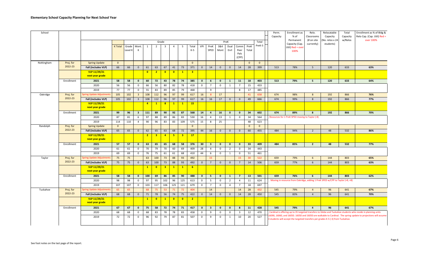| School     |                      |                                                        |                |                  |                         |                    |                                |                               |                    |                         |                         |              |                         |                |                |                               |               |                | Perm.<br>Capacity | Enrollment as<br>% of                                                            | Relo.<br>Classrooms | Relocatable<br>Capacity | Total<br>Capacity | Enrollment as % of Bldg &<br>Relo Cap. (Cap. Util) Red =                                                        |
|------------|----------------------|--------------------------------------------------------|----------------|------------------|-------------------------|--------------------|--------------------------------|-------------------------------|--------------------|-------------------------|-------------------------|--------------|-------------------------|----------------|----------------|-------------------------------|---------------|----------------|-------------------|----------------------------------------------------------------------------------|---------------------|-------------------------|-------------------|-----------------------------------------------------------------------------------------------------------------|
|            |                      |                                                        |                |                  |                         |                    |                                | Grade                         |                    |                         |                         |              |                         |                | PreK           |                               |               | Total          |                   | Permanent                                                                        | (# on site          | No. relos x 24          | w/Relos           | over 100%                                                                                                       |
|            |                      |                                                        | <b>K</b> Total | Grade<br>Level K | Mont.<br>K              | 1                  | $\overline{2}$                 | $\overline{\mathbf{3}}$       | $\overline{4}$     | 5                       | Total<br>$K-5$          | VPI          | PreK<br>SPED            | 3&4<br>Mont    | Dual<br>Enrl   | Comm<br>Peer<br>Pals<br>(CPP) | PreK<br>Total | PreK-5         |                   | Capacity (Cap.<br>Util) Red = over<br>100%                                       | currently)          | students)               |                   |                                                                                                                 |
| Nottingham | Proj. for            | <b>Spring Update</b>                                   | $\overline{0}$ |                  |                         |                    |                                |                               |                    |                         | $\mathbf{0}$            |              |                         |                |                |                               | $\mathbf{0}$  | $\overline{0}$ |                   |                                                                                  |                     |                         |                   |                                                                                                                 |
|            | 2022-23              | Fall (includes VLP)                                    | 66             | 66               | $\mathbf 0$             | 61                 | 63                             | 67                            | 41                 | 73                      | 371                     | $\mathbf 0$  | 14                      | $\mathbf 0$    | $\mathbf 0$    | 14                            | 28            | 399            | 513               | 78%                                                                              | 5 <sup>5</sup>      | 120                     | 633               | 63%                                                                                                             |
|            |                      | <b>VLP 11/29/21</b><br>next year grade                 |                |                  |                         | $\bullet$          | $\overline{2}$                 | $\bullet$                     | $\bullet$          | $\mathbf{1}$            | $\overline{\mathbf{3}}$ |              |                         |                |                |                               |               |                |                   |                                                                                  |                     |                         |                   |                                                                                                                 |
|            | Enrollment           | 2021                                                   | 58             | 58               | $\pmb{0}$               | 60                 | 72                             | 43                            | 78                 | 74                      | 385                     | $\mathbf 0$  | 6                       | $\mathbf{0}$   | $\mathbf{1}$   | 11                            | 18            | 403            | 513               | 79%                                                                              | 5 <sub>5</sub>      | 120                     | 633               | 64%                                                                                                             |
|            |                      | 2020                                                   | 56             | 56               | 0                       | 66                 | 56                             | 80                            | 82                 | 78                      | 418                     | 0            | 7                       | $\mathbf 0$    | 1              | 7                             | 15            | 433            |                   |                                                                                  |                     |                         |                   |                                                                                                                 |
|            |                      | 2019                                                   | 77             | 77               | 0                       | 55                 | 83                             | 89                            | 85                 | 79                      | 468                     |              | 9                       |                |                | 8                             | 17            | 485            |                   |                                                                                  |                     |                         |                   |                                                                                                                 |
| Oakridge   | Proj. for            | pring Update Adjustments                               | 105            | 102              | $\overline{\mathbf{3}}$ | 108                | 112                            | 96                            | 97                 | 99                      | 617                     | 16           | -8                      | 17             |                |                               | 41            | 658            | 674               | 98%                                                                              | 8                   | 192                     | 866               | 76%                                                                                                             |
|            | 2022-23              | Fall (includes VLP)                                    | 105            | 102              | $\overline{\mathbf{3}}$ | 108                | 112                            | 96                            | 97                 | 99                      | 617                     | 16           | 16                      | 17             | $\mathbf 0$    | $\mathbf{0}$                  | 49            | 666            | 674               | 99%                                                                              | 8                   | 192                     | 866               | 77%                                                                                                             |
|            |                      | VLP 11/29/21<br>next year grade                        |                |                  |                         | $\overline{a}$     | $\mathbf{1}$                   | $\overline{\mathbf{8}}$       | $\mathbf{1}$       | $\mathbf{1}$            | 15                      |              |                         |                |                |                               |               |                |                   |                                                                                  |                     |                         |                   |                                                                                                                 |
|            | Enrollment           | 2021                                                   | 99             | 96               | $\overline{\mathbf{3}}$ | 111                | 89                             | 90                            | 92                 | 87                      | 568                     | 14           | $\overline{a}$          | 16             | $\mathbf{0}$   | $\mathbf{0}$                  | 34            | 602            | 674               | 89%                                                                              | 8                   | 192                     | 866               | 70%                                                                                                             |
|            |                      | 2020                                                   | 87             | 81               | 6                       | 97                 | 88                             | 89                            | 86                 | 83                      | 530                     | 16           | $\overline{4}$          | 13             | 1              | $\mathbf 0$                   | 34            | 564            |                   | Resources for 1 PreK SPED moving to Taylor (-8)                                  |                     |                         |                   |                                                                                                                 |
|            |                      | 2019                                                   | 114            | 110              | 4                       | 90                 | 96                             | 83                            | 83                 | 109                     | 575                     | 15           | 8                       | 25             |                |                               | 48            | 623            |                   |                                                                                  |                     |                         |                   |                                                                                                                 |
| Randolph   | Proj. for<br>2022-23 | <b>Spring Update</b>                                   | $\mathbf{0}$   |                  |                         |                    |                                |                               |                    |                         | $\Omega$                |              |                         |                |                |                               | $\mathbf{0}$  | $\mathbf{0}$   |                   |                                                                                  |                     |                         |                   |                                                                                                                 |
|            |                      | Fall (includes VLP)                                    | 65             | 65               | $\mathbf 0$             | 62                 | 65                             | 63                            | 68                 | 72                      | 395                     | 44           | 16                      | $\mathbf 0$    | $\mathbf{0}$   | $\mathbf{0}$                  | 60            | 455            | 484               | 94%                                                                              | $\overline{2}$      | 48                      | 532               | 86%                                                                                                             |
|            |                      | VLP 11/29/21<br>next year grade                        |                |                  |                         | $\overline{2}$     | $\overline{\mathbf{3}}$        | $\overline{4}$                | 5 <sub>1</sub>     | $\overline{\mathbf{3}}$ | 17                      |              |                         |                |                |                               |               |                |                   |                                                                                  |                     |                         |                   |                                                                                                                 |
|            | Enrollment           | 2021                                                   | 57             | 57               | $\mathbf 0$             | 63                 | 65                             | 65                            | 68                 | 58                      | 376                     | 30           | $\overline{\mathbf{3}}$ | $\mathbf{0}$   | $\mathbf{0}$   | $\mathbf{0}$                  | 33            | 409            | 484               | 85%                                                                              | $\overline{2}$      | 48                      | 532               | 77%                                                                                                             |
|            |                      | 2020                                                   | 61             | 61               | $\pmb{0}$               | 70                 | 79                             | 70                            | 60                 | 69                      | 409                     | 28           | $\overline{4}$          | $\mathbf 0$    | $\overline{2}$ | $\mathbf 0$                   | 34            | 443            |                   |                                                                                  |                     |                         |                   |                                                                                                                 |
|            |                      | 2019                                                   | 69             | 69               | $\mathsf 0$             | 76                 | 75                             | 61                            | 61                 | 68                      | 410                     | 44           | 6                       | $\mathbf 0$    | 1              | $\mathbf 0$                   | 51            | 461            |                   |                                                                                  |                     |                         |                   |                                                                                                                 |
| Taylor     | Proj. for<br>2022-23 | Spring Update Adjustments                              | 75             | 75               |                         | 63                 | 100                            | 73                            | 88                 | 93                      | 492                     |              | 15                      |                |                | 15                            | 30            | 522            | 659               | 79%                                                                              | 6                   | 144                     | 803               | 65%                                                                                                             |
|            |                      | Fall (includes VLP)<br>VLP 11/29/21<br>next year grade | 75             | 75               | $\mathbf 0$             | 63<br>$\mathbf{1}$ | 100<br>$\overline{\mathbf{0}}$ | 73<br>$\overline{\mathbf{3}}$ | 88<br>$\mathbf{1}$ | 93<br>$\mathbf{1}$      | 492<br>$6\overline{6}$  | $\mathbf{0}$ | $\overline{7}$          | $\mathbf{0}$   | $\mathbf{0}$   | $\overline{7}$                | 14            | 506            | 659               | 77%                                                                              | $6\overline{6}$     | 144                     | 803               | 63%                                                                                                             |
|            | Enrollment           | 2021                                                   | 58             | 58               | $\pmb{0}$               | 100                | 69                             | 86                            | 85                 | 90                      | 488                     | $\mathbf{0}$ | 5 <sub>5</sub>          | $\mathbf{0}$   | $\mathbf{1}$   | $\overline{7}$                | 13            | 501            | 659               | 76%                                                                              | 6                   | 144                     | 803               | 62%                                                                                                             |
|            |                      | 2020                                                   | 98             | 98               | $\mathbf 0$             | 97                 | 95                             | 102                           | 96                 | 125                     | 613                     | $\mathbf 0$  | 5                       | $\mathbf 0$    | $\overline{2}$ | $\overline{4}$                | 11            | 624            |                   | Moving in resource from Oakridge, adding 1 PreK SPED w/CPP to Taylor (+8, +8)    |                     |                         |                   |                                                                                                                 |
|            |                      | 2019                                                   | 107            | 107              | $\mathbf 0$             | 103                | 117                            | 106                           | 125                | 121                     | 679                     | $\mathbf 0$  | $\overline{7}$          | $\overline{0}$ | $\overline{4}$ | $\overline{7}$                | 18            | 697            |                   |                                                                                  |                     |                         |                   |                                                                                                                 |
| Tuckahoe   | Proj. for            | pring Update Adjustment                                | 65             | 65               |                         | 68                 | 75                             | 53                            | 71                 | 72                      | 404                     |              | 14                      |                |                | 14                            | 28            | 432            | 545               | 79%                                                                              | $\overline{4}$      | 96                      | 641               | 67%                                                                                                             |
|            | 2022-23              | Fall (includes VLP)                                    | 68             | 68               | $\mathbf 0$             | 71                 | 78                             | 56                            | 74                 | 75                      | 422                     | $\mathbf{0}$ | 14                      | $\mathbf 0$    | $\mathbf 0$    | 14                            | 28            | 450            | 545               | 83%                                                                              | $\overline{4}$      | 96                      | 641               | 70%                                                                                                             |
|            |                      | VLP 11/29/21<br>next year grade                        |                |                  |                         | $\mathbf{1}$       | $\overline{\mathbf{0}}$        | $\mathbf{1}$                  | $\bullet$          | $\overline{\mathbf{0}}$ | $\overline{2}$          |              |                         |                |                |                               |               |                |                   |                                                                                  |                     |                         |                   |                                                                                                                 |
|            | Enrollment           | 2021                                                   | 67             | 67               | $\pmb{0}$               | 75                 | 58                             | 72                            | 74                 | 71                      | 417                     | $\mathbf{0}$ | $\overline{\mathbf{3}}$ | $\mathbf{0}$   | $\mathbf{0}$   | 8                             | 11            | 428            | 545               | 79%                                                                              | $\overline{4}$      | 96                      | 641               | 67%                                                                                                             |
|            |                      | 2020                                                   | 68             | 68               | 0                       | 68                 | 83                             | 78                            | 78                 | 83                      | 458                     | $\mathbf 0$  | 9                       | $\mathbf 0$    | $\mathbf 0$    | $\overline{\mathbf{3}}$       | 12            | 470            |                   |                                                                                  |                     |                         |                   | Cardinal is offering up to 35 targeted transfers to Glebe and Tuckahoe students who reside in planning units    |
|            |                      | 2019                                                   | 72             | 72               | 0                       | 96                 | 92                             | 79                            | 87                 | 81                      | 507                     | $\mathbf 0$  | 9                       | $\mathbf 0$    | 1              | 10                            | 20            | 527            |                   | 3 students will accept the targeted transfers per grades K-5 (-3) from Tuckahoe. |                     |                         |                   | 16090, 16060, and 16050. 16050 and 16050 are walkable to Cardinal. The spring update to projections will assume |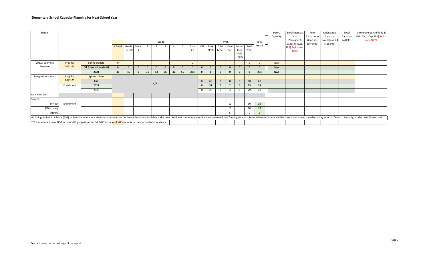| School                     |            |                                                                                                                                                                                                                                |              |              |              |    |                |              |          |          |       |              |          |              |                |               |              |                 | Perm.<br>Capacity | Enrollment as<br>% of       | Relo.<br>Classrooms      | Relocatable<br>Capacity       | Total<br>Capacity | Enrollment as % of Bldg &<br>Relo Cap. (Cap. Util) Red = |
|----------------------------|------------|--------------------------------------------------------------------------------------------------------------------------------------------------------------------------------------------------------------------------------|--------------|--------------|--------------|----|----------------|--------------|----------|----------|-------|--------------|----------|--------------|----------------|---------------|--------------|-----------------|-------------------|-----------------------------|--------------------------|-------------------------------|-------------------|----------------------------------------------------------|
|                            |            |                                                                                                                                                                                                                                |              |              |              |    |                | Grade        |          |          |       |              |          |              | PreK           |               |              | Total           |                   | Permanent<br>Capacity (Cap. | (# on site<br>currently) | (No. relos x 24)<br>students) | w/Relos           | over 100%                                                |
|                            |            |                                                                                                                                                                                                                                | K Total      |              | Grade Mont.  |    | $\overline{2}$ |              |          |          | Total | VPI          | PreK     | 3&4          | Dual           | Comm PreK     |              | PreK-5          |                   | Util) Red = over            |                          |                               |                   |                                                          |
|                            |            |                                                                                                                                                                                                                                |              | Level K      |              |    |                |              |          |          | $K-5$ |              | SPED     | Mont         | Enrl           | Peer          | Total        |                 |                   | 100%                        |                          |                               |                   |                                                          |
|                            |            |                                                                                                                                                                                                                                |              |              |              |    |                |              |          |          |       |              |          |              |                | Pals<br>(CPP) |              |                 |                   |                             |                          |                               |                   |                                                          |
|                            |            |                                                                                                                                                                                                                                |              |              |              |    |                |              |          |          |       |              |          |              |                |               |              |                 |                   |                             |                          |                               |                   |                                                          |
| Virtual Learning           | Proj. for  | <b>Spring Update</b>                                                                                                                                                                                                           | $\mathbf{0}$ |              |              |    |                |              |          |          |       |              |          |              |                |               | $\Omega$     | $\Omega$        | N/A               |                             |                          |                               |                   |                                                          |
| Program                    | 2022-23    | Fall (reported in school)                                                                                                                                                                                                      | $\mathbf{0}$ | $\mathbf{0}$ | $\Omega$     |    | $\mathbf{0}$   | $\mathbf{0}$ | $\Omega$ | $\Omega$ |       | $\Omega$     | $\Omega$ | $\Omega$     | $\mathbf{0}$   | $\Omega$      | $\Omega$     | $\Omega$        | N/A               |                             |                          |                               |                   |                                                          |
|                            |            | 2021                                                                                                                                                                                                                           | 46           | 46           | $\mathbf{0}$ | 31 | 53             | 56           | 42       | 56       | 284   | $\mathbf{0}$ |          | $\mathbf{0}$ | $\mathbf{0}$   | $\mathbf{0}$  | $\mathbf{0}$ | 284             | N/A               |                             |                          |                               |                   |                                                          |
| <b>Integration Station</b> | Proj. for  | <b>Spring Udate</b>                                                                                                                                                                                                            |              |              |              |    |                |              |          |          |       |              |          |              |                |               | $\mathbf{0}$ |                 |                   |                             |                          |                               |                   |                                                          |
|                            | 2022-23    | Fall                                                                                                                                                                                                                           |              |              |              |    |                |              |          |          |       | $\mathbf{0}$ | 60       | $\Omega$     | $\mathbf{0}$   | $\Omega$      | 60           | 60              |                   |                             |                          |                               |                   |                                                          |
|                            | Enrollment | 2021                                                                                                                                                                                                                           |              |              |              |    | N/A            |              |          |          |       | $\mathbf{0}$ | 31       | $\mathbf{0}$ | $\overline{2}$ | $\mathbf 0$   | 33           | 33              |                   |                             |                          |                               |                   |                                                          |
|                            |            | 2020                                                                                                                                                                                                                           |              |              |              |    |                |              |          |          |       | $\Omega$     | 26       |              | $\overline{3}$ | $\Omega$      | 29           | 29              |                   |                             |                          |                               |                   |                                                          |
| <b>Dual Enrollees</b>      |            |                                                                                                                                                                                                                                |              |              |              |    |                |              |          |          |       |              |          |              |                |               |              |                 |                   |                             |                          |                               |                   |                                                          |
| Speech                     |            |                                                                                                                                                                                                                                |              |              |              |    |                |              |          |          |       |              |          |              |                |               |              |                 |                   |                             |                          |                               |                   |                                                          |
| @Fleet                     | Enrollment |                                                                                                                                                                                                                                |              |              |              |    |                |              |          |          |       |              |          |              | 10             |               | 10           | 10 <sub>1</sub> |                   |                             |                          |                               |                   |                                                          |
| @Discovery                 |            |                                                                                                                                                                                                                                |              |              |              |    |                |              |          |          |       |              |          |              | 10             |               | 10           | 10 <sub>1</sub> |                   |                             |                          |                               |                   |                                                          |
| @Drew                      |            |                                                                                                                                                                                                                                |              |              |              |    |                |              |          |          |       |              |          |              | .5             |               | 5            | 5.              |                   |                             |                          |                               |                   |                                                          |
|                            |            | All Arlington Public Schools (APS) budget and operations decisions are based on the best information available at the time. Staff and community members are reminded that funding forecasts from Arlington County and the stat |              |              |              |    |                |              |          |          |       |              |          |              |                |               |              |                 |                   |                             |                          |                               |                   |                                                          |
|                            |            | 2021 enrollment does NOT include VLP, projections for Fall 2022 include all VLP students in their school of attendance.                                                                                                        |              |              |              |    |                |              |          |          |       |              |          |              |                |               |              |                 |                   |                             |                          |                               |                   |                                                          |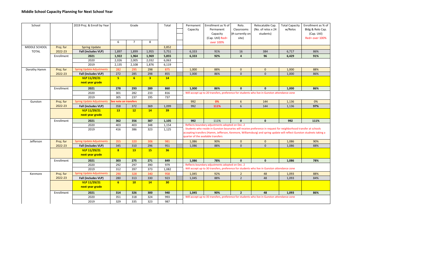| School        |            | 2019 Proj. & Enroll by Year      |                         | Grade          |                         | Total           | Permanent<br>Capacity | Enrollment as % of<br>Permanent<br>Capacity<br>(Cap. Util) Red=                                                                                                                                                                                                                 | Relo.<br>Classrooms<br>(# currently on<br>site) | Relocatable Cap.<br>(No. of relos x 24<br>students) | <b>Total Capacity</b><br>w/Relos | Enrollment as % of<br>Bldg & Relo Cap.<br>(Cap. Util)<br>Red= over 100% |
|---------------|------------|----------------------------------|-------------------------|----------------|-------------------------|-----------------|-----------------------|---------------------------------------------------------------------------------------------------------------------------------------------------------------------------------------------------------------------------------------------------------------------------------|-------------------------------------------------|-----------------------------------------------------|----------------------------------|-------------------------------------------------------------------------|
|               |            |                                  | 6                       | $\overline{7}$ | 8                       |                 |                       | over 100%                                                                                                                                                                                                                                                                       |                                                 |                                                     |                                  |                                                                         |
| MIDDLE SCHOOL | Proj. for  | <b>Spring Update</b>             |                         |                |                         | 3,852           |                       |                                                                                                                                                                                                                                                                                 |                                                 |                                                     |                                  |                                                                         |
| <b>TOTAL</b>  | 2022-23    | Fall (includes VLP)              | 1,897                   | 1,899          | 1,955                   | 5,751           | 6,333                 | 91%                                                                                                                                                                                                                                                                             | 16                                              | 384                                                 | 6,717                            | 86%                                                                     |
|               | Enrollment | 2021                             | 1,922                   | 1,964          | 1,969                   | 5,855           | 6,333                 | 92%                                                                                                                                                                                                                                                                             | $\overline{\mathbf{4}}$                         | 96                                                  | 6,429                            | 91%                                                                     |
|               |            | 2020                             | 2,026                   | 2,005          | 2,032                   | 6,063           |                       |                                                                                                                                                                                                                                                                                 |                                                 |                                                     |                                  |                                                                         |
|               |            | 2019                             | 2,135                   | 2,108          | 1,876                   | 6,119           |                       |                                                                                                                                                                                                                                                                                 |                                                 |                                                     |                                  |                                                                         |
| Dorothy Hamm  | Proj. for  | <b>Spring Update Adjustments</b> | 282                     | 295            | 298                     | 875             | 1,000                 | 88%                                                                                                                                                                                                                                                                             | $\mathbf{0}$                                    | $\mathbf{0}$                                        | 1,000                            | 88%                                                                     |
|               | 2022-23    | <b>Fall (includes VLP)</b>       | 272                     | 285            | 298                     | 855             | 1,000                 | 86%                                                                                                                                                                                                                                                                             | $\mathbf{0}$                                    | $\mathbf{0}$                                        | 1,000                            | 86%                                                                     |
|               |            | VLP 11/29/21<br>next year grade  | 5 <sup>1</sup>          | 6 <sup>1</sup> | $\overline{\mathbf{3}}$ | 14              |                       |                                                                                                                                                                                                                                                                                 |                                                 |                                                     |                                  |                                                                         |
|               | Enrollment | 2021                             | 278                     | 293            | 289                     | 860             | 1,000                 | 86%                                                                                                                                                                                                                                                                             | $\mathbf{0}$                                    | $\mathbf{0}$                                        | 1,000                            | 86%                                                                     |
|               |            | 2020                             | 301                     | 282            | 233                     | 816             |                       | Will accept up to 20 transfers, preference for students who live in Gunston attendance zone                                                                                                                                                                                     |                                                 |                                                     |                                  |                                                                         |
|               |            | 2019                             | 305                     | 237            | 195                     | 737             |                       |                                                                                                                                                                                                                                                                                 |                                                 |                                                     |                                  |                                                                         |
| Gunston       | Proj. for  | <b>Spring Update Adjustments</b> | See note on transfers   |                |                         |                 | 992                   | 0%                                                                                                                                                                                                                                                                              | $\boldsymbol{6}$                                | 144                                                 | 1,136                            | 0%                                                                      |
|               | 2022-23    | Fall (includes VLP)              | 358                     | 372            | 369                     | 1,099           | 992                   | 111%                                                                                                                                                                                                                                                                            | 6                                               | 144                                                 | 1,136                            | 97%                                                                     |
|               |            | VLP 11/29/21<br>next year grade  | 13                      | 12             | 14                      | 39 <sub>o</sub> |                       |                                                                                                                                                                                                                                                                                 |                                                 |                                                     |                                  |                                                                         |
|               | Enrollment | 2021                             | 362                     | 356            | 387                     | 1,105           | 992                   | 111%                                                                                                                                                                                                                                                                            | $\mathbf 0$                                     | $\mathbf{0}$                                        | 992                              | 111%                                                                    |
|               |            | 2020                             | 403                     | 403            | 348                     | 1,154           |                       | Reflects boundary adjustments adopted on Dec. 2                                                                                                                                                                                                                                 |                                                 |                                                     |                                  |                                                                         |
|               |            | 2019                             | 416                     | 386            | 323                     | 1,125           |                       | Students who reside in Gunston bounaries will receive preference in request for neighborhood transfer at schools<br>accepting transfers (Hamm, Jefferson, Kenmore, Williamsburg) and spring update will reflect Gunston studnets taking a<br>quarter of the available transfers |                                                 |                                                     |                                  |                                                                         |
| Jefferson     | Proj. for  | <b>Spring Update Adjustments</b> | 355                     | 320            | 306                     | 981             | 1,086                 | 90%                                                                                                                                                                                                                                                                             | $\mathbf{0}$                                    | $\mathbf{0}$                                        | 1,086                            | 90%                                                                     |
|               | 2022-23    | Fall (includes VLP)              | 345                     | 310            | 296                     | 951             | 1,086                 | 88%                                                                                                                                                                                                                                                                             | $\Omega$                                        | $\Omega$                                            | 1,086                            | 88%                                                                     |
|               |            | VLP 11/29/21<br>next year grade  | $\overline{\mathbf{8}}$ | 13             | 15                      | 36              |                       |                                                                                                                                                                                                                                                                                 |                                                 |                                                     |                                  |                                                                         |
|               | Enrollment | 2021                             | 303                     | 275            | 271                     | 849             | 1.086                 | 78%                                                                                                                                                                                                                                                                             | $\mathbf{0}$                                    | $\mathbf{0}$                                        | 1,086                            | 78%                                                                     |
|               |            | 2020                             | 292                     | 297            | 390                     | 979             |                       | Reflects boundary adjustments adopted on Dec. 2                                                                                                                                                                                                                                 |                                                 |                                                     |                                  |                                                                         |
|               |            | 2019                             | 312                     | 397            | 373                     | 1,082           |                       | Will accept up to 30 transfers, preference for students who live in Gunston attendance zone                                                                                                                                                                                     |                                                 |                                                     |                                  |                                                                         |
| Kenmore       | Proj. for  | <b>Spring Update Adjustments</b> | 290                     | 328            | 340                     | 958             | 1,045                 | 92%                                                                                                                                                                                                                                                                             | $\overline{2}$                                  | 48                                                  | 1,093                            | 88%                                                                     |
|               | 2022-23    | Fall (includes VLP)              | 280                     | 313            | 330                     | 923             | 1,045                 | 88%                                                                                                                                                                                                                                                                             | $\overline{2}$                                  | 48                                                  | 1,093                            | 84%                                                                     |
|               |            | VLP 11/29/21<br>next year grade  | 6 <sup>2</sup>          | 10             | 14                      | 30 <sub>2</sub> |                       |                                                                                                                                                                                                                                                                                 |                                                 |                                                     |                                  |                                                                         |
|               | Enrollment | 2021                             | 314                     | 326            | 300                     | 940             | 1,045                 | 90%                                                                                                                                                                                                                                                                             | $\overline{2}$                                  | 48                                                  | 1,093                            | 86%                                                                     |
|               |            | 2020                             | 351                     | 318            | 324                     | 993             |                       | Will accept up to 35 transfers, preference for students who live in Gunston attendance zone                                                                                                                                                                                     |                                                 |                                                     |                                  |                                                                         |
|               |            | 2019                             | 329                     | 335            | 323                     | 987             |                       |                                                                                                                                                                                                                                                                                 |                                                 |                                                     |                                  |                                                                         |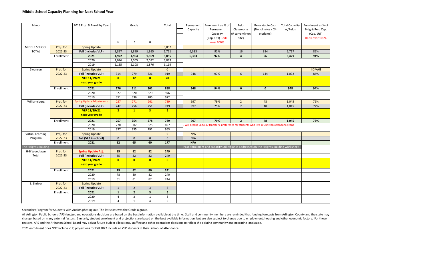| School               |            | 2019 Proj. & Enroll by Year      |                | Grade          |                         | Total               | Permanent<br>Capacity | Enrollment as % of<br>Permanent<br>Capacity<br>(Cap. Util) Red=                             | Relo.<br>Classrooms<br>(# currently on<br>site) | Relocatable Cap.<br>(No. of relos x 24<br>students) | <b>Total Capacity</b><br>w/Relos | Enrollment as % of<br>Bldg & Relo Cap.<br>(Cap. Util)<br>Red= over 100% |
|----------------------|------------|----------------------------------|----------------|----------------|-------------------------|---------------------|-----------------------|---------------------------------------------------------------------------------------------|-------------------------------------------------|-----------------------------------------------------|----------------------------------|-------------------------------------------------------------------------|
|                      |            |                                  | 6              | $\overline{7}$ | 8                       |                     |                       | over 100%                                                                                   |                                                 |                                                     |                                  |                                                                         |
| MIDDLE SCHOOL        | Proj. for  | <b>Spring Update</b>             |                |                |                         | 3,852               |                       |                                                                                             |                                                 |                                                     |                                  |                                                                         |
| <b>TOTAL</b>         | 2022-23    | Fall (includes VLP)              | 1,897          | 1,899          | 1,955                   | 5,751               | 6,333                 | 91%                                                                                         | 16                                              | 384                                                 | 6,717                            | 86%                                                                     |
|                      | Enrollment | 2021                             | 1,922          | 1,964          | 1,969                   | 5,855               | 6,333                 | 92%                                                                                         | $\overline{4}$                                  | 96                                                  | 6,429                            | 91%                                                                     |
|                      |            | 2020                             | 2,026          | 2,005          | 2,032                   | 6,063               |                       |                                                                                             |                                                 |                                                     |                                  |                                                                         |
|                      |            | 2019                             | 2,135          | 2,108          | 1,876                   | 6,119               |                       |                                                                                             |                                                 |                                                     |                                  |                                                                         |
| Swanson              | Proj. for  | <b>Spring Update</b>             |                |                |                         | $\mathbf{0}$        |                       |                                                                                             |                                                 |                                                     |                                  | #DIV/0!                                                                 |
|                      | 2022-23    | Fall (includes VLP)              | 314            | 279            | 326                     | 919                 | 948                   | 97%                                                                                         | 6                                               | 144                                                 | 1,092                            | 84%                                                                     |
|                      |            | VLP 11/29/21<br>next year grade  | 8              | 12             | 8                       | 28                  |                       |                                                                                             |                                                 |                                                     |                                  |                                                                         |
|                      | Enrollment | 2021                             | 276            | 311            | 301                     | 888                 | 948                   | 94%                                                                                         | $\mathbf 0$                                     | $\mathbf 0$                                         | 948                              | 94%                                                                     |
|                      |            | 2020                             | 327            | 320            | 329                     | 976                 |                       |                                                                                             |                                                 |                                                     |                                  |                                                                         |
|                      |            | 2019                             | 351            | 336            | 285                     | 972                 |                       |                                                                                             |                                                 |                                                     |                                  |                                                                         |
| Williamsburg         | Proj. for  | <b>Spring Update Adjustments</b> | 257            | 271            | 261                     | 789                 | 997                   | 79%                                                                                         | $\overline{2}$                                  | 48                                                  | 1,045                            | 76%                                                                     |
|                      | 2022-23    | Fall (includes VLP)              | 242            | 256            | 251                     | 749                 | 997                   | 75%                                                                                         | $\overline{2}$                                  | 48                                                  | 1,045                            | 72%                                                                     |
|                      |            | VLP 11/29/21<br>next year grade  | 2 <sup>1</sup> | $\mathbf{1}$   | $\overline{\mathbf{3}}$ | 6 <sup>1</sup>      |                       |                                                                                             |                                                 |                                                     |                                  |                                                                         |
|                      | Enrollment | 2021                             | 257            | 254            | 278                     | 789                 | 997                   | 79%                                                                                         | $\overline{2}$                                  | 48                                                  | 1,045                            | 76%                                                                     |
|                      |            | 2020                             | 270            | 302            | 325                     | 897                 |                       | Will accept up to 40 transfers, preference for students who live in Gunston attendance zone |                                                 |                                                     |                                  |                                                                         |
|                      |            | 2019                             | 337            | 335            | 291                     | 963                 |                       |                                                                                             |                                                 |                                                     |                                  |                                                                         |
| Virtual Learning     | Proj. for  | <b>Spring Update</b>             |                |                |                         | $\mathbf{0}$        | N/A                   |                                                                                             |                                                 |                                                     |                                  |                                                                         |
| Program              | 2022-23    | Fall (VLP in school)             | $\mathbf 0$    | $\mathbf 0$    | $\mathbf 0$             | $\mathsf{O}\xspace$ | N/A                   |                                                                                             |                                                 |                                                     |                                  |                                                                         |
|                      | Enrollment | 2021                             | 52             | 65             | 60                      | 177                 | N/A                   |                                                                                             |                                                 |                                                     |                                  |                                                                         |
| The Heights Building |            |                                  |                |                |                         |                     |                       | Past enrollment and capacity utilization is addressed on the Heights Building worksheet     |                                                 |                                                     |                                  |                                                                         |
| H-B Woodlawn         | Proj. for  | <b>Spring Update Adj.</b>        | 85             | 82             | 82                      | 249                 |                       |                                                                                             |                                                 |                                                     |                                  |                                                                         |
| Total                | 2022-23    | Fall (includes VLP)              | 85             | 82             | 82                      | 249                 |                       |                                                                                             |                                                 |                                                     |                                  |                                                                         |
|                      |            | VLP 11/29/21                     | $\mathbf{0}$   | $\overline{0}$ | $\overline{0}$          | $\overline{0}$      |                       |                                                                                             |                                                 |                                                     |                                  |                                                                         |
|                      |            | next year grade                  |                |                |                         |                     |                       |                                                                                             |                                                 |                                                     |                                  |                                                                         |
|                      | Enrollment | 2021                             | 79             | 82             | 80                      | 241                 |                       |                                                                                             |                                                 |                                                     |                                  |                                                                         |
|                      |            | 2020                             | 78             | 80             | 82                      | 240                 |                       |                                                                                             |                                                 |                                                     |                                  |                                                                         |
|                      |            | 2019                             | 81             | 81             | 82                      | 244                 |                       |                                                                                             |                                                 |                                                     |                                  |                                                                         |
| E. Shriver           | Proj. for  | <b>Spring Update</b>             |                |                |                         |                     |                       |                                                                                             |                                                 |                                                     |                                  |                                                                         |
|                      | 2022-23    | Fall (includes VLP)              | $\mathbf{1}$   | $\overline{2}$ | $\overline{3}$          | 6                   |                       |                                                                                             |                                                 |                                                     |                                  |                                                                         |
|                      | Enrollment | 2021                             | $\mathbf{1}$   | $\overline{2}$ | $\overline{\mathbf{3}}$ | $6\phantom{.}6$     |                       |                                                                                             |                                                 |                                                     |                                  |                                                                         |
|                      |            | 2020                             | 4              | 3              | $\mathbf{1}$            | 8                   |                       |                                                                                             |                                                 |                                                     |                                  |                                                                         |
|                      |            | 2019                             | $\overline{4}$ | $\mathbf{1}$   | $\overline{4}$          | 9                   |                       |                                                                                             |                                                 |                                                     |                                  |                                                                         |

Secondary Program for Students with Autism phasing out. The last class was the Grade 8 group.

All Arlington Public Schools (APS) budget and operations decisions are based on the best information available at the time. Staff and community members are reminded that funding forecasts from Arlington County and the stat change, based on many external factors. Similarly, student enrollment and projections are based on the best available information, but are also subject to change due to employment, housing and other economic factors. For t reasons, APS and the Arlington School Board may adjust future budget allocations, staffing and other operations decisions to reflect the existing community and operating landscape.

2021 enrollment does NOT include VLP, projections for Fall 2022 include all VLP students in their school of attendance.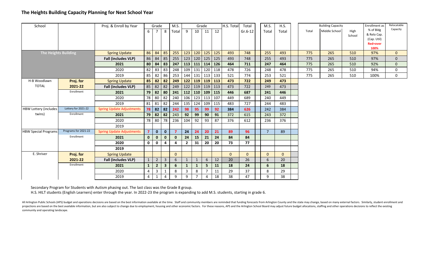# The Heights Building Capacity Planning for Next School Year

| School                       |                      | Proj. & Enroll by Year           |                | Grade          |                | M.S.<br>Grade  |                |              |                 |           | H.S. Total<br>Total |           |  | M.S.           | H.S.           |       | <b>Building Capacity</b> |                | Enrollment as                                              | Relocatable  |
|------------------------------|----------------------|----------------------------------|----------------|----------------|----------------|----------------|----------------|--------------|-----------------|-----------|---------------------|-----------|--|----------------|----------------|-------|--------------------------|----------------|------------------------------------------------------------|--------------|
|                              |                      |                                  | 6              | 7              | 8              | Total          | 9              | 10           | 11              | 12        |                     | $Gr.6-12$ |  | Total          | Total          | Total | Middle School            | High<br>School | % of Bldg<br>& Relo Cap.<br>(Cap. Util)<br><b>Red=over</b> | Capacity     |
|                              |                      |                                  |                |                |                |                |                |              |                 |           |                     |           |  |                |                |       |                          |                | 100%                                                       |              |
|                              | The Heights Building | <b>Spring Update</b>             | 86             | 84             | 85             | 255            | 123            | 120          |                 | $125$ 125 | 493                 | 748       |  | 255            | 493            | 775   | 265                      | 510            | 97%                                                        | $\mathbf{0}$ |
|                              |                      | <b>Fall (includes VLP)</b>       |                | 86 84          | 85             | 255            | 123            | 120          | 125             | 125       | 493                 | 748       |  | 255            | 493            | 775   | 265                      | 510            | 97%                                                        | $\Omega$     |
|                              |                      | 2021                             |                | $80 \mid 84$   | 83             | 247            | 113            |              | 111 114 126     |           | 464                 | 711       |  | 247            | 464            | 775   | 265                      | 510            | 92%                                                        | $\mathbf{0}$ |
|                              |                      | 2020                             | 82             | 83             | 83             | 248            | 109            | 131          |                 | 120 118   | 478                 | 726       |  | 248            | 478            | 775   | 265                      | 510            | 94%                                                        | $\mathbf 0$  |
|                              |                      | 2019                             | 85             | 82             | 86             | 253            | 144            | 131          |                 | 113 133   | 521                 | 774       |  | 253            | 521            | 775   | 265                      | 510            | 100%                                                       | $\mathbf 0$  |
| H-B Woodlawn                 | Proj. for            | <b>Spring Update</b>             |                | $85 \mid 82$   | 82             | 249            | $122$          | 119          |                 | $119$ 113 | 473                 | 722       |  | 249            | 473            |       |                          |                |                                                            |              |
| <b>TOTAL</b>                 | 2021-22              | <b>Fall (includes VLP)</b>       |                | $85$ 82        | 82             | 249            | 122            |              | $119$ 119 113   |           | 473                 | 722       |  | 249            | 473            |       |                          |                |                                                            |              |
|                              | Enrollment           | 2021                             |                | $79$ 82        | 80             | 241            | 112            |              | 110   109   115 |           | 446                 | 687       |  | 241            | 446            |       |                          |                |                                                            |              |
|                              |                      | 2020                             | 78             | 80             | 82             | 240            | 106            | 123          | 113 107         |           | 449                 | 689       |  | 240            | 449            |       |                          |                |                                                            |              |
|                              |                      | 2019                             | 81             | 81             | 82             | 244            | 135            | 124          |                 | 109 115   | 483                 | 727       |  | 244            | 483            |       |                          |                |                                                            |              |
| <b>HBW Lottery (includes</b> | Lottery for 2021-22  | <b>Spring Update Adjustments</b> |                | 78 82          | 82             | 242            | 98             | 95           | 99              | 92        | 384                 | 626       |  | 242            | 384            |       |                          |                |                                                            |              |
| twins)                       | Enrollment           | 2021                             |                | $79$ 82        | 82             | 243            | 92             | 99           | 90              | 91        | 372                 | 615       |  | 243            | 372            |       |                          |                |                                                            |              |
|                              |                      | 2020                             | 78             | 80             | 78             | 236            | 104            | 92           | 93              | 87        | 376                 | 612       |  | 236            | 376            |       |                          |                |                                                            |              |
|                              |                      | 2019                             |                |                |                |                |                |              |                 |           |                     |           |  |                |                |       |                          |                |                                                            |              |
| <b>HBW Special Programs</b>  | Programs for 2021-22 | <b>Spring Update Adjustments</b> | $\overline{7}$ | $\mathbf{0}$   | $\mathbf{0}$   |                | 24             | 24           | 20              | 21        | 89                  | 96        |  | $\overline{7}$ | 89             |       |                          |                |                                                            |              |
|                              | Enrollment           | 2021                             | $\mathbf{0}$   | $\mathbf 0$    | $\mathbf{0}$   | $\mathbf{0}$   | 24             | 15           | 21              | 24        | 84                  | 84        |  |                |                |       |                          |                |                                                            |              |
|                              |                      | 2020                             | $\mathbf 0$    | 0              | 4              |                | $\overline{2}$ | 31           | 20              | 20        | 73                  | 77        |  |                |                |       |                          |                |                                                            |              |
|                              |                      | 2019                             |                |                |                |                |                |              |                 |           |                     |           |  |                |                |       |                          |                |                                                            |              |
| E. Shriver                   | Proj. for            | <b>Spring Update</b>             |                |                |                | $\overline{0}$ |                |              |                 |           | $\mathbf{0}$        | $\Omega$  |  | $\Omega$       | $\overline{0}$ |       |                          |                |                                                            |              |
|                              | 2021-22              | <b>Fall (includes VLP)</b>       | $\mathbf{1}$   | $\overline{2}$ | $\mathbf{3}$   | 6              | $\mathbf{1}$   | $\mathbf{1}$ | 6               | 12        | 20                  | 26        |  | 6              | 20             |       |                          |                |                                                            |              |
|                              | Enrollment           | 2021                             | $\mathbf{1}$   | $\overline{2}$ | $\mathbf{3}$   | 6              | $\mathbf{1}$   | $\mathbf{1}$ | 5               | 11        | 18                  | 24        |  | 6              | 18             |       |                          |                |                                                            |              |
|                              |                      | 2020                             | 4              | $\overline{3}$ | 1              | 8              | 3              | 8            | $\overline{7}$  | 11        | 29                  | 37        |  | 8              | 29             |       |                          |                |                                                            |              |
|                              |                      | 2019                             | $\overline{4}$ | 1              | $\overline{4}$ | 9              | 9              |              | 4               | 18        | 38                  | 47        |  | 9              | 38             |       |                          |                |                                                            |              |

Secondary Program for Students with Autism phasing out. The last class was the Grade 8 group.H.S. HILT students (English Learners) enter through the year. In 2022-23 the program is expanding to add M.S. students, starting in grade 6.

All Arlington Public Schools (APS) budget and operations decisions are based on the best information available at the time. Staff and community members are reminded that funding forecasts from Arlington County and the stat projections are based on the best available information, but are also subject to change due to employment, housing and other economic factors. For these reasons, APS and the Arlington School Board may adjust future budget community and operating landscape.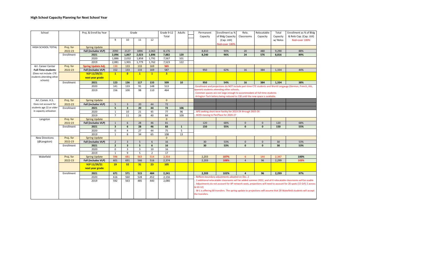| School                               |            | Proj. & Enroll by Year<br>Grade |                         |                         |                |                | Grade 9-12<br>Total     | Adults       | Permanent<br>Capacity       | Enrollment as %<br>of Bldg Capacity                                                                                    | Relo.<br>Classrooms | Relocatable<br>Capacity | Total<br>Capacity | Enrollment as % of Bldg<br>& Relo Cap. (Cap. Util)                                                                                                                                                                                                                                                                                                      |  |
|--------------------------------------|------------|---------------------------------|-------------------------|-------------------------|----------------|----------------|-------------------------|--------------|-----------------------------|------------------------------------------------------------------------------------------------------------------------|---------------------|-------------------------|-------------------|---------------------------------------------------------------------------------------------------------------------------------------------------------------------------------------------------------------------------------------------------------------------------------------------------------------------------------------------------------|--|
|                                      |            |                                 | 9                       | 10                      | 11             | 12             |                         |              |                             | (Cap. Util)<br>Red=over 100%                                                                                           |                     |                         | w/ Relos          | Red=over 100%                                                                                                                                                                                                                                                                                                                                           |  |
| HIGH SCHOOL TOTAL                    | Proj. for  | <b>Spring Update</b>            |                         |                         |                |                |                         |              |                             |                                                                                                                        |                     |                         |                   |                                                                                                                                                                                                                                                                                                                                                         |  |
|                                      | 2022-23    | Fall (includes VLP)             | 2090                    | 2127                    | 1896           | 2,063          | 8,176                   |              | 8,810                       | 93%                                                                                                                    | 20                  | 480                     | 9,290             | 88%                                                                                                                                                                                                                                                                                                                                                     |  |
|                                      | Enrollment | 2021                            | 2,096                   | 1,867                   | 2,023          | 1,896          | 7,882                   | 120          | 8.240                       | 96%                                                                                                                    | 24                  | 576                     | 8,816             | 89%                                                                                                                                                                                                                                                                                                                                                     |  |
|                                      |            | 2020                            | 1,886                   | 2,032                   | 1,858          | 1,791          | 7,567                   | 101          |                             |                                                                                                                        |                     |                         |                   |                                                                                                                                                                                                                                                                                                                                                         |  |
|                                      |            | 2019                            | 2,081                   | 1,901                   | 1,779          | 1,762          | 7,523                   | 122          |                             |                                                                                                                        |                     |                         |                   |                                                                                                                                                                                                                                                                                                                                                         |  |
| Arl. Career Center                   | Proj. for  | Spring Update Adj.              | 130                     | 133                     | 133            | 169            | 565                     |              |                             |                                                                                                                        |                     |                         |                   |                                                                                                                                                                                                                                                                                                                                                         |  |
| <b>Full-Time students</b>            | 2022-23    | Fall (includes VLP)             | 152                     | 133                     | 133            | 169            | 587                     |              | 950                         | 62%                                                                                                                    | 16                  | 384                     | 1,334             | 44%                                                                                                                                                                                                                                                                                                                                                     |  |
| (Does not include CTE                |            | <b>VLP 11/29/21</b>             | $\mathbf{1}$            | $\bullet$               | $\mathbf{1}$   | $\mathbf{1}$   | $\overline{\mathbf{3}}$ |              |                             |                                                                                                                        |                     |                         |                   |                                                                                                                                                                                                                                                                                                                                                         |  |
| students attending other<br>schools) |            | next year grade                 |                         |                         |                |                |                         |              |                             |                                                                                                                        |                     |                         |                   |                                                                                                                                                                                                                                                                                                                                                         |  |
|                                      | Enrollment | 2021                            | 123                     | 136                     | 117            | 133            | 509                     | 10           | 950                         | 54%                                                                                                                    | 16                  | 384                     | 1,334             | 38%                                                                                                                                                                                                                                                                                                                                                     |  |
|                                      |            | 2020                            | 141                     | 133                     | 91             | 148            | 513                     |              |                             |                                                                                                                        |                     |                         |                   | Enrollment and projections do NOT include part-time CTE students and World Langauge (German, French, ASL,                                                                                                                                                                                                                                               |  |
|                                      |            | 2019                            | 156                     | 100                     | 98             | 110            | 464                     |              |                             | Spanish) students attending other schools.<br>Common spaces are not large enough to accommodate all full-time students |                     |                         |                   |                                                                                                                                                                                                                                                                                                                                                         |  |
|                                      |            |                                 |                         |                         |                |                |                         |              |                             | Arlington Tech lottery being reduced to 130 until the new space is available.                                          |                     |                         |                   |                                                                                                                                                                                                                                                                                                                                                         |  |
| Arl. Comm. H.S.                      | Proj. for  | <b>Spring Update</b>            |                         |                         |                |                | $\Omega$                |              |                             |                                                                                                                        |                     |                         |                   |                                                                                                                                                                                                                                                                                                                                                         |  |
| Does not account for                 | 2022-23    | Fall (includes VLP)             | 5                       | $\overline{3}$          | 20             | 44             | 72                      |              |                             |                                                                                                                        |                     |                         |                   |                                                                                                                                                                                                                                                                                                                                                         |  |
| students age 22 or older             | Enrollment | 2021                            | $5\overline{5}$         | $\overline{\mathbf{3}}$ | 20             | 44             | 72                      | 106          |                             |                                                                                                                        |                     |                         |                   |                                                                                                                                                                                                                                                                                                                                                         |  |
| in capacity utilization              |            | 2020                            | $\mathbf{1}$            | 10                      | 21             | 45             | 77                      | 96           |                             | APS seeking short term facility for 2023-24 through 2025-26                                                            |                     |                         |                   |                                                                                                                                                                                                                                                                                                                                                         |  |
|                                      |            | 2019                            | $\overline{7}$          | 11                      | 26             | 40             | 84                      | 109          |                             | ACHS moving to PenPlace for 2026-27                                                                                    |                     |                         |                   |                                                                                                                                                                                                                                                                                                                                                         |  |
| Langston                             | Proj. for  | <b>Spring Update</b>            |                         |                         |                |                | $\mathbf{0}$            |              |                             |                                                                                                                        |                     |                         |                   |                                                                                                                                                                                                                                                                                                                                                         |  |
|                                      | 2022-23    | Fall (includes VLP)             | $\mathbf{1}$            | 6                       | 28             | 46             | 81                      |              | 120                         | 68%                                                                                                                    | $\mathbf{0}$        | $\Omega$                | 120               | 68%                                                                                                                                                                                                                                                                                                                                                     |  |
|                                      | Enrollment | 2021                            | $\overline{\mathbf{3}}$ | $\boldsymbol{6}$        | 28             | 46             | 83                      | $\mathbf{1}$ | 150                         | 55%                                                                                                                    | $\mathbf{0}$        | $\mathbf{0}$            | 150               | 55%                                                                                                                                                                                                                                                                                                                                                     |  |
|                                      |            | 2020                            | $\mathbf 0$             | $\overline{4}$          | 27             | 44             | 75                      | 5            |                             |                                                                                                                        |                     |                         |                   |                                                                                                                                                                                                                                                                                                                                                         |  |
|                                      |            | 2019                            | 1                       | 8                       | 34             | 65             | 108                     | 13           |                             |                                                                                                                        |                     |                         |                   |                                                                                                                                                                                                                                                                                                                                                         |  |
| <b>New Directions</b>                | Proj. for  | <b>Spring Update</b>            |                         |                         |                |                | $\Omega$                |              |                             |                                                                                                                        |                     |                         |                   |                                                                                                                                                                                                                                                                                                                                                         |  |
| (@Langston)                          | 2022-23    | <b>Fall (includes VLP)</b>      | $\overline{2}$          | $\overline{3}$          | 5 <sup>5</sup> | 6              | 16                      |              | 30 <sup>°</sup>             | 53%                                                                                                                    | $\mathbf{0}$        | $\mathbf{0}$            | 30 <sup>°</sup>   | 53%                                                                                                                                                                                                                                                                                                                                                     |  |
|                                      | Enrollment | 2021                            | $\overline{2}$          | $\overline{\mathbf{3}}$ | 5 <sup>5</sup> | 6              | 16                      |              | 30                          | 53%                                                                                                                    | $\mathbf{0}$        | $\mathbf{0}$            | 30                | 53%                                                                                                                                                                                                                                                                                                                                                     |  |
|                                      |            | 2020                            | $\mathbf 0$             | $\overline{\mathbf{3}}$ | $\overline{3}$ | 10             | 16                      |              |                             |                                                                                                                        |                     |                         |                   |                                                                                                                                                                                                                                                                                                                                                         |  |
|                                      |            | 2019                            | $\mathbf{1}$            | 9                       | 5              | $\overline{2}$ | 17                      |              |                             |                                                                                                                        |                     |                         |                   |                                                                                                                                                                                                                                                                                                                                                         |  |
| Wakefield                            | Proj. for  | <b>Spring Update</b>            | 596                     | 681                     | 563            | 514            | 2,354                   |              | 2,203                       | 107%                                                                                                                   | 6                   | 144                     | 2,347             | 100%                                                                                                                                                                                                                                                                                                                                                    |  |
|                                      | 2022-23    | Fall (includes VLP)             | 601                     | 691                     | 566            | 516            | 2,374                   |              | 2,203                       | 108%                                                                                                                   | $\overline{4}$      | 96                      | 2,299             | 103%                                                                                                                                                                                                                                                                                                                                                    |  |
|                                      |            | <b>VLP 11/29/21</b>             | 19                      | 32                      | 31             | 23             | 105                     |              |                             |                                                                                                                        |                     |                         |                   |                                                                                                                                                                                                                                                                                                                                                         |  |
|                                      |            | next year grade                 |                         |                         |                |                |                         |              |                             |                                                                                                                        |                     |                         |                   |                                                                                                                                                                                                                                                                                                                                                         |  |
|                                      | Enrollment | 2021                            | 671                     | 571                     | 515            | 484            | 2,241                   |              | 2.203                       | 102%                                                                                                                   | $\overline{a}$      | 96                      | 2,299             | 97%                                                                                                                                                                                                                                                                                                                                                     |  |
|                                      |            | 2020                            | 616                     | 560                     | 528            | 452            | 2,156                   |              |                             | Reflects boundary adjustments adopted on Dec. 2                                                                        |                     |                         |                   |                                                                                                                                                                                                                                                                                                                                                         |  |
|                                      |            | 2019                            | 592                     | 563                     | 485            | 440            | 2,080                   |              | $Gr10-12$<br>the transfers. |                                                                                                                        |                     |                         |                   | 2 additional relocatable classrooms will be added summer 2022, and all 6 relocatable classrooms will be usable<br>Adjustments do not account for AP network seats, projections will need to account for 20 spots (15 Gr9, 5 across<br>W-L is offering 60 transfers. The spring update to projections will assume that 20 Wakefield students will accept |  |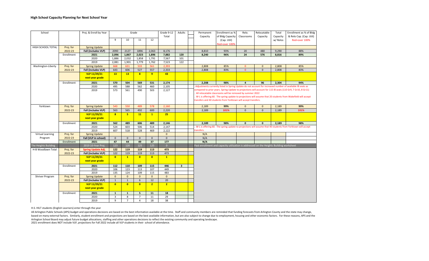| School               |            | Proj. & Enroll by Year    | Grade                   |                |                         | Grade 9-12<br>Total | Adults         | Permanent<br>Capacity   | Enrollment as %<br>of Bldg Capacity | Relo.<br>Classrooms                                                                     | Relocatable<br>Capacity | Total<br>Capacity | Enrollment as % of Bldg<br>& Relo Cap. (Cap. Util) |                                                                                                               |
|----------------------|------------|---------------------------|-------------------------|----------------|-------------------------|---------------------|----------------|-------------------------|-------------------------------------|-----------------------------------------------------------------------------------------|-------------------------|-------------------|----------------------------------------------------|---------------------------------------------------------------------------------------------------------------|
|                      |            |                           | 9                       | 10             | 11                      | 12                  |                |                         |                                     | (Cap. Util)<br>Red=over 100%                                                            |                         |                   | w/ Relos                                           | Red=over 100%                                                                                                 |
| HIGH SCHOOL TOTAL    | Proj. for  | <b>Spring Update</b>      |                         |                |                         |                     |                |                         |                                     |                                                                                         |                         |                   |                                                    |                                                                                                               |
|                      | 2022-23    | Fall (includes VLP)       | 2090                    | 2127           | 1896                    | 2,063               | 8,176          |                         | 8,810                               | 93%                                                                                     | 20                      | 480               | 9,290                                              | 88%                                                                                                           |
|                      | Enrollment | 2021                      | 2,096                   | 1,867          | 2,023                   | 1,896               | 7,882          | 120                     | 8,240                               | 96%                                                                                     | 24                      | 576               | 8,816                                              | 89%                                                                                                           |
|                      |            | 2020                      | 1,886                   | 2,032          | 1,858                   | 1,791               | 7,567          | 101                     |                                     |                                                                                         |                         |                   |                                                    |                                                                                                               |
|                      |            | 2019                      | 2,081                   | 1,901          | 1,779                   | 1,762               | 7,523          | 122                     |                                     |                                                                                         |                         |                   |                                                    |                                                                                                               |
| Washington-Liberty   | Proj. for  | <b>Spring Update</b>      | 668                     | 631            | 533                     | 561                 | 2,393          |                         | 2,808                               | 85%                                                                                     | $\mathbf{0}$            | $\mathbf{0}$      | 2,808                                              | 85%                                                                                                           |
|                      | 2022-23    | Fall (includes VLP)       | 643                     | 606            | 527                     | 557                 | 2,333          |                         | 2,808                               | 83%                                                                                     | $\mathbf{0}$            | $\mathbf{0}$      | 2,808                                              | 83%                                                                                                           |
|                      |            | <b>VLP 11/29/21</b>       | 13                      | 13             | $\overline{\mathbf{8}}$ | 9 <sup>°</sup>      | 43             |                         |                                     |                                                                                         |                         |                   |                                                    |                                                                                                               |
|                      |            | next year grade           |                         |                |                         |                     |                |                         |                                     |                                                                                         |                         |                   |                                                    |                                                                                                               |
|                      | Enrollment | 2021                      | 570                     | 504            | 569                     | 531                 | 2,174          |                         | 2.208                               | 98%                                                                                     | $\overline{4}$          | 96                | 2,304                                              | 94%                                                                                                           |
|                      |            | 2020                      | 495                     | 588            | 562                     | 460                 | 2,105          |                         |                                     |                                                                                         |                         |                   |                                                    | Adjustments currently listed in Spring Update do not account for increased number of available IB seats as    |
|                      |            | 2019                      | 573                     | 561            | 490                     | 503                 | 2,127          |                         |                                     | All relocatable classrooms will be removed by summer 2022                               |                         |                   |                                                    | compared to prior years. Spring Update to projections will account for 115 IB seats (110 Gr9, 7 Gr10, 8 Gr11) |
|                      |            |                           |                         |                |                         |                     |                |                         |                                     |                                                                                         |                         |                   |                                                    | W-L is offering 60. The spring update to projections will assume that 20 students from Wakefield will accept  |
|                      |            |                           |                         |                |                         |                     |                |                         |                                     | transfers and 40 students from Yorktown will accept transfers.                          |                         |                   |                                                    |                                                                                                               |
| Yorktown             | Proj. for  | <b>Spring Update</b>      | 543                     | 550            | 489                     | 578                 | 2,160          |                         | 2,189                               | 99%                                                                                     | $\mathbf{0}$            | $\mathbf{0}$      | 2,189                                              | 99%                                                                                                           |
|                      | 2022-23    | Fall (includes VLP)       | 563                     | 565            | 492                     | 600                 | 2,220          |                         | 2,189                               | 101%                                                                                    | $\Omega$                | $\Omega$          | 2.189                                              | 101%                                                                                                          |
|                      |            | <b>VLP 11/29/21</b>       | $\overline{\mathbf{8}}$ | 5 <sub>1</sub> | 11                      | $\mathbf{1}$        | 25             |                         |                                     |                                                                                         |                         |                   |                                                    |                                                                                                               |
|                      |            | next year grade           |                         |                |                         |                     |                |                         |                                     |                                                                                         |                         |                   |                                                    |                                                                                                               |
|                      | Enrollment | 2021                      | 562                     | 489            | 606                     | 489                 | 2,146          |                         | 2,189                               | 98%                                                                                     | $\mathbf{0}$            | $\mathbf{0}$      | 2,189                                              | 98%                                                                                                           |
|                      |            | 2020                      | 524                     | 603            | 506                     | 514                 | 2,147          |                         |                                     |                                                                                         |                         |                   |                                                    | W-L is offering 60. The spring update to projections will assume that 40 students from Yorktown will accept   |
|                      |            | 2019                      | 607                     | 518            | 528                     | 469                 | 2,122          |                         | ransfers.                           |                                                                                         |                         |                   |                                                    |                                                                                                               |
| Virtual Learning     | Proj. for  | <b>Spring Update</b>      |                         |                |                         |                     | $\mathbf{0}$   |                         | N/A                                 |                                                                                         |                         |                   |                                                    |                                                                                                               |
| Program              | 2022-23    | Fall (VLP in school)      | $\mathsf 0$             | $\mathbf 0$    | $\mathbf{0}$            | $\mathbf{0}$        | $\mathbf{0}$   |                         | N/A                                 |                                                                                         |                         |                   |                                                    |                                                                                                               |
|                      | Enrollment | 2021                      | 47                      | 44             | 49                      | 37                  | 177            |                         | N/A                                 |                                                                                         |                         |                   |                                                    |                                                                                                               |
| The Heights Building |            | 2019 10-Year Proj.        | 123                     | 120            | 125                     | 125                 | $\overline{0}$ |                         |                                     | Past enrollment and capacity utilization is addressed on the Heights Building worksheet |                         |                   |                                                    |                                                                                                               |
| H-B Woodlawn Total   | Proj. for  | <b>Spring Update Adj.</b> | 122                     | 119            | 119                     | 113                 | 473            |                         |                                     |                                                                                         |                         |                   |                                                    |                                                                                                               |
|                      | 2022-23    | Fall (includes VLP)       | 122                     | 119            | 119                     | 113                 | 473            |                         |                                     |                                                                                         |                         |                   |                                                    |                                                                                                               |
|                      |            | <b>VLP 11/29/21</b>       | $\mathbf{0}$            | $\mathbf{1}$   | $\mathbf{0}$            | $\bullet$           | $\mathbf{1}$   |                         |                                     |                                                                                         |                         |                   |                                                    |                                                                                                               |
|                      |            | next year grade           |                         |                |                         |                     |                |                         |                                     |                                                                                         |                         |                   |                                                    |                                                                                                               |
|                      | Enrollment | 2021                      | 112                     | 110            | 109                     | 115                 | 446            | $\overline{\mathbf{3}}$ |                                     |                                                                                         |                         |                   |                                                    |                                                                                                               |
|                      |            | 2020                      | 106                     | 123            | 113                     | 107                 | 449            |                         |                                     |                                                                                         |                         |                   |                                                    |                                                                                                               |
|                      |            | 2019                      | 135                     | 124            | 109                     | 115                 | 483            |                         |                                     |                                                                                         |                         |                   |                                                    |                                                                                                               |
| Shriver Program      | Proj. for  | <b>Spring Update</b>      | $\mathbf{0}$            | $\mathbf{0}$   | $\mathbf{0}$            | $\mathbf{0}$        | $\mathbf{0}$   |                         |                                     |                                                                                         |                         |                   |                                                    |                                                                                                               |
|                      | 2022-23    | Fall (includes VLP)       | $\mathbf{1}$            | $\mathbf{1}$   | $6\overline{6}$         | 12                  | 20             |                         |                                     |                                                                                         |                         |                   |                                                    |                                                                                                               |
|                      |            | <b>VLP 11/29/21</b>       | $\mathbf{0}$            | $\mathbf{0}$   | $\mathbf{0}$            | 2 <sup>1</sup>      | 2 <sup>1</sup> |                         |                                     |                                                                                         |                         |                   |                                                    |                                                                                                               |
|                      |            | next year grade           |                         |                |                         |                     |                |                         |                                     |                                                                                         |                         |                   |                                                    |                                                                                                               |
|                      | Enrollment | 2021                      | $\mathbf{1}$            | $\mathbf{1}$   | 5 <sup>1</sup>          | 11                  | 18             |                         |                                     |                                                                                         |                         |                   |                                                    |                                                                                                               |
|                      |            | 2020                      | 3                       | 8              | $\overline{7}$          | 11                  | 29             |                         |                                     |                                                                                         |                         |                   |                                                    |                                                                                                               |
|                      |            | 2019                      | 9                       | $\overline{7}$ | $\overline{4}$          | 18                  | 38             |                         |                                     |                                                                                         |                         |                   |                                                    |                                                                                                               |

H.S. HILT students (English Learners) enter through the year

All Arlington Public Schools (APS) budget and operations decisions are based on the best information available at the time. Staff and community members are reminded that funding forecasts from Arlington County and the stat based on many external factors. Similarly, student enrollment and projections are based on the best available information, but are also subject to change due to employment, housing and other economic factors. For these rea Arlington School Board may adjust future budget allocations, staffing and other operations decisions to reflect the existing community and operating landscape.

2021 enrollment does NOT include VLP, projections for Fall 2022 include all VLP students in their school of attendance.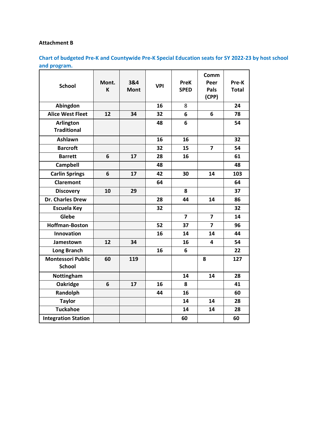# **Attachment B**

**Chart of budgeted Pre-K and Countywide Pre-K Special Education seats for SY 2022-23 by host school and program.**

| <b>School</b>                             | Mont.<br>K | 3&4<br><b>Mont</b> | <b>VPI</b> | <b>PreK</b><br><b>SPED</b> | Comm<br>Peer<br>Pals<br>(CPP) | Pre-K<br><b>Total</b> |
|-------------------------------------------|------------|--------------------|------------|----------------------------|-------------------------------|-----------------------|
| Abingdon                                  |            |                    | 16         | 8                          |                               | 24                    |
| <b>Alice West Fleet</b>                   | 12         | 34                 | 32         | 6                          | 6                             | 78                    |
| <b>Arlington</b><br><b>Traditional</b>    |            |                    | 48         | 6                          |                               | 54                    |
| Ashlawn                                   |            |                    | 16         | 16                         |                               | 32                    |
| <b>Barcroft</b>                           |            |                    | 32         | 15                         | $\overline{\mathbf{z}}$       | 54                    |
| <b>Barrett</b>                            | 6          | 17                 | 28         | 16                         |                               | 61                    |
| Campbell                                  |            |                    | 48         |                            |                               | 48                    |
| <b>Carlin Springs</b>                     | 6          | 17                 | 42         | 30                         | 14                            | 103                   |
| <b>Claremont</b>                          |            |                    | 64         |                            |                               | 64                    |
| <b>Discovery</b>                          | 10         | 29                 |            | 8                          |                               | 37                    |
| <b>Dr. Charles Drew</b>                   |            |                    | 28         | 44                         | 14                            | 86                    |
| <b>Escuela Key</b>                        |            |                    | 32         |                            |                               | 32                    |
| Glebe                                     |            |                    |            | $\overline{7}$             | $\overline{7}$                | 14                    |
| <b>Hoffman-Boston</b>                     |            |                    | 52         | 37                         | $\overline{7}$                | 96                    |
| <b>Innovation</b>                         |            |                    | 16         | 14                         | 14                            | 44                    |
| Jamestown                                 | 12         | 34                 |            | 16                         | 4                             | 54                    |
| <b>Long Branch</b>                        |            |                    | 16         | 6                          |                               | 22                    |
| <b>Montessori Public</b><br><b>School</b> | 60         | 119                |            |                            | 8                             | 127                   |
| Nottingham                                |            |                    |            | 14                         | 14                            | 28                    |
| Oakridge                                  | 6          | 17                 | 16         | 8                          |                               | 41                    |
| Randolph                                  |            |                    | 44         | 16                         |                               | 60                    |
| <b>Taylor</b>                             |            |                    |            | 14                         | 14                            | 28                    |
| <b>Tuckahoe</b>                           |            |                    |            | 14                         | 14                            | 28                    |
| <b>Integration Station</b>                |            |                    |            | 60                         |                               | 60                    |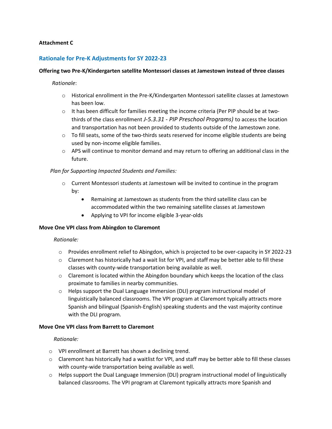#### **Attachment C**

# **Rationale for Pre-K Adjustments for SY 2022-23**

#### **Offering two Pre-K/Kindergarten satellite Montessori classes at Jamestown instead of three classes**

#### *Rationale*:

- o Historical enrollment in the Pre-K/Kindergarten Montessori satellite classes at Jamestown has been low.
- $\circ$  It has been difficult for families meeting the income criteria (Per PIP should be at twothirds of the class enrollment *J-5.3.31 - PIP Preschool Programs)* to access the location and transportation has not been provided to students outside of the Jamestown zone.
- $\circ$  To fill seats, some of the two-thirds seats reserved for income eligible students are being used by non-income eligible families.
- $\circ$  APS will continue to monitor demand and may return to offering an additional class in the future.

#### *Plan for Supporting Impacted Students and Families:*

- $\circ$  Current Montessori students at Jamestown will be invited to continue in the program by:
	- Remaining at Jamestown as students from the third satellite class can be accommodated within the two remaining satellite classes at Jamestown
	- Applying to VPI for income eligible 3-year-olds

#### **Move One VPI class from Abingdon to Claremont**

#### *Rationale:*

- o Provides enrollment relief to Abingdon, which is projected to be over-capacity in SY 2022-23
- $\circ$  Claremont has historically had a wait list for VPI, and staff may be better able to fill these classes with county-wide transportation being available as well.
- $\circ$  Claremont is located within the Abingdon boundary which keeps the location of the class proximate to families in nearby communities.
- o Helps support the Dual Language Immersion (DLI) program instructional model of linguistically balanced classrooms. The VPI program at Claremont typically attracts more Spanish and bilingual (Spanish-English) speaking students and the vast majority continue with the DLI program.

#### **Move One VPI class from Barrett to Claremont**

#### *Rationale:*

- o VPI enrollment at Barrett has shown a declining trend.
- o Claremont has historically had a waitlist for VPI, and staff may be better able to fill these classes with county-wide transportation being available as well.
- $\circ$  Helps support the Dual Language Immersion (DLI) program instructional model of linguistically balanced classrooms. The VPI program at Claremont typically attracts more Spanish and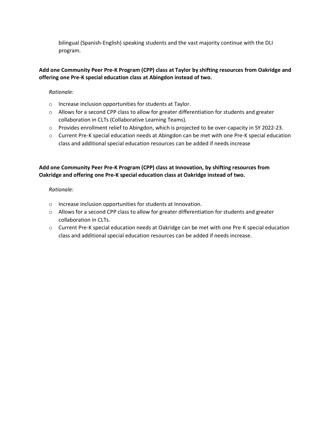bilingual (Spanish-English) speaking students and the vast majority continue with the DLI program.

# **Add one Community Peer Pre-K Program (CPP) class at Taylor by shifting resources from Oakridge and offering one Pre-K special education class at Abingdon instead of two.**

## *Rationale:*

- o Increase inclusion opportunities for students at Taylor.
- $\circ$  Allows for a second CPP class to allow for greater differentiation for students and greater collaboration in CLTs (Collaborative Learning Teams).
- o Provides enrollment relief to Abingdon, which is projected to be over-capacity in SY 2022-23.
- o Current Pre-K special education needs at Abingdon can be met with one Pre-K special education class and additional special education resources can be added if needs increase

# **Add one Community Peer Pre-K Program (CPP) class at Innovation, by shifting resources from Oakridge and offering one Pre-K special education class at Oakridge instead of two.**

## *Rationale:*

- o Increase inclusion opportunities for students at Innovation.
- $\circ$  Allows for a second CPP class to allow for greater differentiation for students and greater collaboration in CLTs.
- o Current Pre-K special education needs at Oakridge can be met with one Pre-K special education class and additional special education resources can be added if needs increase.